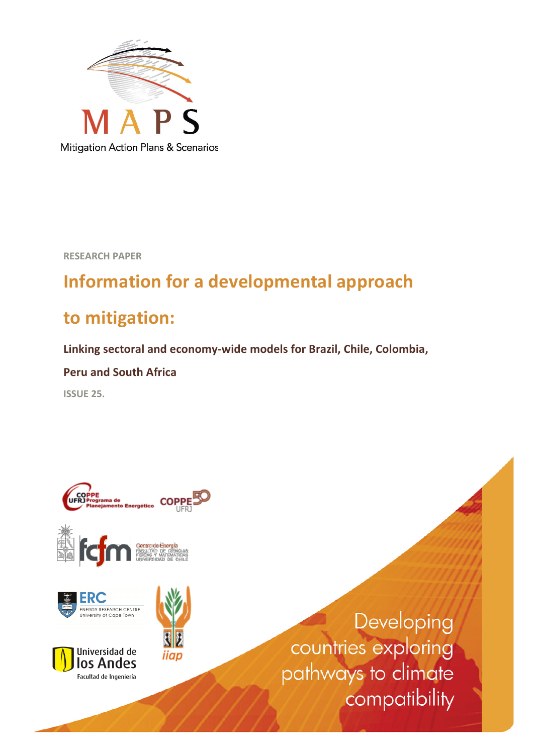

**RESEARCH!PAPER**

# **Information for a developmental approach**

# to mitigation:

Linking sectoral and economy-wide models for Brazil, Chile, Colombia,

**Peru!and!South!Africa**

**ISSUE 25.** 

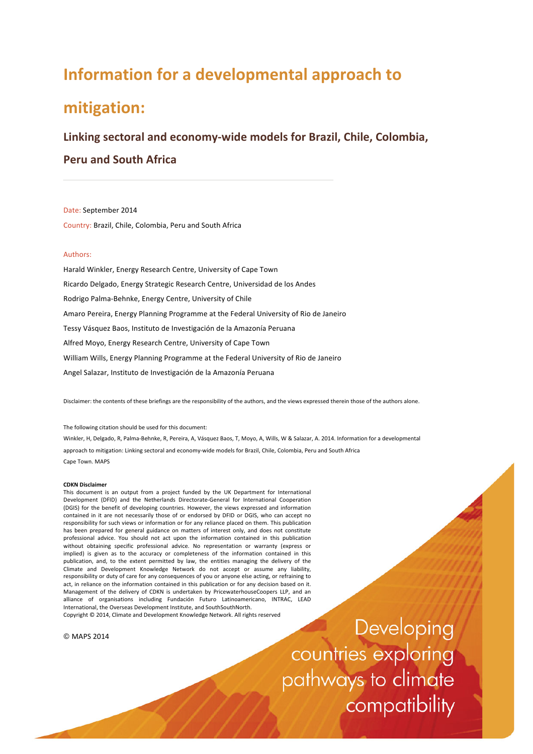## **Information for a developmental approach to**

## **mitigation:!**

### Linking sectoral and economy-wide models for Brazil, Chile, Colombia,

**Peru!and!South!Africa**

Date: September 2014 Country: Brazil, Chile, Colombia, Peru and South Africa

#### Authors:

Harald Winkler, Energy Research Centre, University of Cape Town Ricardo Delgado, Energy Strategic Research Centre, Universidad de los Andes Rodrigo Palma-Behnke, Energy Centre, University of Chile Amaro Pereira, Energy Planning Programme at the Federal University of Rio de Janeiro Tessy Vásquez Baos, Instituto de Investigación de la Amazonía Peruana Alfred Moyo, Energy Research Centre, University of Cape Town William Wills, Energy Planning Programme at the Federal University of Rio de Janeiro Angel Salazar, Instituto de Investigación de la Amazonía Peruana

Disclaimer: the contents of these briefings are the responsibility of the authors, and the views expressed therein those of the authors alone.

The following citation should be used for this document:

Winkler, H, Delgado, R, Palma-Behnke, R, Pereira, A, Vásquez Baos, T, Moyo, A, Wills, W & Salazar, A. 2014. Information for a developmental approach to mitigation: Linking sectoral and economy-wide models for Brazil, Chile, Colombia, Peru and South Africa Cape Town. MAPS

#### **CDKN!Disclaimer!**

This document is an output from a project funded by the UK Department for International Development (DFID) and the Netherlands Directorate-General for International Cooperation (DGIS) for the benefit of developing countries. However, the views expressed and information contained in it are not necessarily those of or endorsed by DFID or DGIS, who can accept no responsibility for such views or information or for any reliance placed on them. This publication has been prepared for general guidance on matters of interest only, and does not constitute professional advice. You should not act upon the information contained in this publication without obtaining specific professional advice. No representation or warranty (express or implied) is given as to the accuracy or completeness of the information contained in this publication, and, to the extent permitted by law, the entities managing the delivery of the Climate and Development Knowledge Network do not accept or assume any liability, responsibility or duty of care for any consequences of you or anyone else acting, or refraining to act, in reliance on the information contained in this publication or for any decision based on it. Management of the delivery of CDKN is undertaken by PricewaterhouseCoopers LLP, and an alliance of organisations including Fundación Futuro Latinoamericano, INTRAC, LEAD International, the Overseas Development Institute, and SouthSouthNorth.

Copyright @ 2014, Climate and Development Knowledge Network. All rights reserved

© MAPS!2014

Developing countries exploring pathways to climate compatibility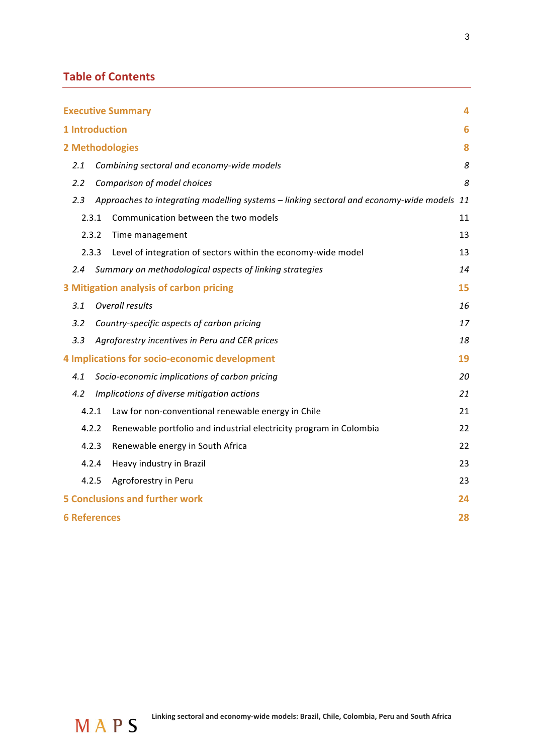## **Table of Contents**

|                                         |                     |                                            | <b>Executive Summary</b>                                                                  | 4  |  |  |  |
|-----------------------------------------|---------------------|--------------------------------------------|-------------------------------------------------------------------------------------------|----|--|--|--|
|                                         | 1 Introduction<br>6 |                                            |                                                                                           |    |  |  |  |
|                                         |                     |                                            | 2 Methodologies                                                                           | 8  |  |  |  |
|                                         | 2.1                 | Combining sectoral and economy-wide models |                                                                                           |    |  |  |  |
|                                         | 2.2                 |                                            | Comparison of model choices                                                               | 8  |  |  |  |
|                                         | 2.3                 |                                            | Approaches to integrating modelling systems - linking sectoral and economy-wide models 11 |    |  |  |  |
|                                         | 2.3.1               |                                            | Communication between the two models                                                      | 11 |  |  |  |
|                                         | 2.3.2               |                                            | Time management                                                                           | 13 |  |  |  |
|                                         | 2.3.3               |                                            | Level of integration of sectors within the economy-wide model                             | 13 |  |  |  |
|                                         | $2.4^{\circ}$       |                                            | Summary on methodological aspects of linking strategies                                   | 14 |  |  |  |
| 3 Mitigation analysis of carbon pricing |                     |                                            |                                                                                           |    |  |  |  |
|                                         | 3.1                 | <b>Overall results</b><br>16               |                                                                                           |    |  |  |  |
|                                         | 3.2                 |                                            | Country-specific aspects of carbon pricing                                                | 17 |  |  |  |
|                                         | 3.3                 |                                            | Agroforestry incentives in Peru and CER prices                                            | 18 |  |  |  |
|                                         |                     |                                            | 4 Implications for socio-economic development                                             | 19 |  |  |  |
|                                         | 4.1                 |                                            | Socio-economic implications of carbon pricing                                             | 20 |  |  |  |
|                                         | 4.2                 |                                            | Implications of diverse mitigation actions                                                | 21 |  |  |  |
|                                         | 4.2.1               |                                            | Law for non-conventional renewable energy in Chile                                        | 21 |  |  |  |
|                                         | 4.2.2               |                                            | Renewable portfolio and industrial electricity program in Colombia                        | 22 |  |  |  |
|                                         | 4.2.3               |                                            | Renewable energy in South Africa                                                          | 22 |  |  |  |
|                                         | 4.2.4               |                                            | Heavy industry in Brazil                                                                  | 23 |  |  |  |
|                                         | 4.2.5               |                                            | Agroforestry in Peru                                                                      | 23 |  |  |  |
|                                         |                     |                                            | <b>5 Conclusions and further work</b>                                                     | 24 |  |  |  |
|                                         | <b>6 References</b> |                                            |                                                                                           | 28 |  |  |  |

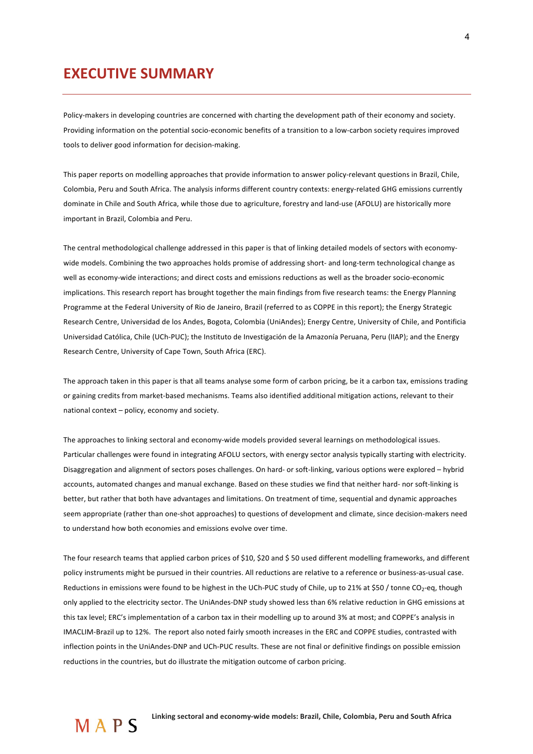## **EXECUTIVE SUMMARY**

Policy-makers in developing countries are concerned with charting the development path of their economy and society. Providing information on the potential socio-economic benefits of a transition to a low-carbon society requires improved tools to deliver good information for decision-making.

This paper reports on modelling approaches that provide information to answer policy-relevant questions in Brazil, Chile, Colombia, Peru and South Africa. The analysis informs different country contexts: energy-related GHG emissions currently dominate in Chile and South Africa, while those due to agriculture, forestry and land-use (AFOLU) are historically more important in Brazil, Colombia and Peru.

The central methodological challenge addressed in this paper is that of linking detailed models of sectors with economywide models. Combining the two approaches holds promise of addressing short- and long-term technological change as well as economy-wide interactions; and direct costs and emissions reductions as well as the broader socio-economic implications. This research report has brought together the main findings from five research teams: the Energy Planning Programme at the Federal University of Rio de Janeiro, Brazil (referred to as COPPE in this report); the Energy Strategic Research Centre, Universidad de los Andes, Bogota, Colombia (UniAndes); Energy Centre, University of Chile, and Pontificia Universidad Católica, Chile (UCh-PUC); the Instituto de Investigación de la Amazonía Peruana, Peru (IIAP); and the Energy Research Centre, University of Cape Town, South Africa (ERC).

The approach taken in this paper is that all teams analyse some form of carbon pricing, be it a carbon tax, emissions trading or gaining credits from market-based mechanisms. Teams also identified additional mitigation actions, relevant to their national context – policy, economy and society.

The approaches to linking sectoral and economy-wide models provided several learnings on methodological issues. Particular challenges were found in integrating AFOLU sectors, with energy sector analysis typically starting with electricity. Disaggregation and alignment of sectors poses challenges. On hard- or soft-linking, various options were explored – hybrid accounts, automated changes and manual exchange. Based on these studies we find that neither hard- nor soft-linking is better, but rather that both have advantages and limitations. On treatment of time, sequential and dynamic approaches seem appropriate (rather than one-shot approaches) to questions of development and climate, since decision-makers need to understand how both economies and emissions evolve over time.

The four research teams that applied carbon prices of \$10, \$20 and \$50 used different modelling frameworks, and different policy instruments might be pursued in their countries. All reductions are relative to a reference or business-as-usual case. Reductions in emissions were found to be highest in the UCh-PUC study of Chile, up to 21% at \$50 / tonne CO<sub>2</sub>-eq, though only applied to the electricity sector. The UniAndes-DNP study showed less than 6% relative reduction in GHG emissions at this tax level; ERC's implementation of a carbon tax in their modelling up to around 3% at most; and COPPE's analysis in IMACLIM-Brazil up to 12%. The report also noted fairly smooth increases in the ERC and COPPE studies, contrasted with inflection points in the UniAndes-DNP and UCh-PUC results. These are not final or definitive findings on possible emission reductions in the countries, but do illustrate the mitigation outcome of carbon pricing.

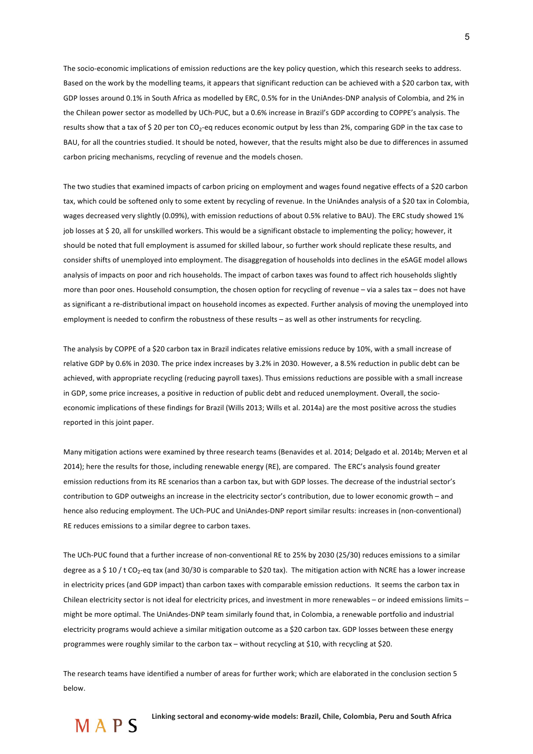The socio-economic implications of emission reductions are the key policy question, which this research seeks to address. Based on the work by the modelling teams, it appears that significant reduction can be achieved with a \$20 carbon tax, with GDP losses around 0.1% in South Africa as modelled by ERC, 0.5% for in the UniAndes-DNP analysis of Colombia, and 2% in the Chilean power sector as modelled by UCh-PUC, but a 0.6% increase in Brazil's GDP according to COPPE's analysis. The results show that a tax of \$20 per ton  $CO_2$ -eq reduces economic output by less than 2%, comparing GDP in the tax case to BAU, for all the countries studied. It should be noted, however, that the results might also be due to differences in assumed carbon pricing mechanisms, recycling of revenue and the models chosen.

The two studies that examined impacts of carbon pricing on employment and wages found negative effects of a \$20 carbon tax, which could be softened only to some extent by recycling of revenue. In the UniAndes analysis of a \$20 tax in Colombia, wages decreased very slightly (0.09%), with emission reductions of about 0.5% relative to BAU). The ERC study showed 1% job losses at \$ 20, all for unskilled workers. This would be a significant obstacle to implementing the policy; however, it should be noted that full employment is assumed for skilled labour, so further work should replicate these results, and consider shifts of unemployed into employment. The disaggregation of households into declines in the eSAGE model allows analysis of impacts on poor and rich households. The impact of carbon taxes was found to affect rich households slightly more than poor ones. Household consumption, the chosen option for recycling of revenue – via a sales tax – does not have as significant a re-distributional impact on household incomes as expected. Further analysis of moving the unemployed into employment is needed to confirm the robustness of these results – as well as other instruments for recycling.

The analysis by COPPE of a \$20 carbon tax in Brazil indicates relative emissions reduce by 10%, with a small increase of relative GDP by 0.6% in 2030. The price index increases by 3.2% in 2030. However, a 8.5% reduction in public debt can be achieved, with appropriate recycling (reducing payroll taxes). Thus emissions reductions are possible with a small increase in GDP, some price increases, a positive in reduction of public debt and reduced unemployment. Overall, the socioeconomic implications of these findings for Brazil (Wills 2013; Wills et al. 2014a) are the most positive across the studies reported in this joint paper.

Many mitigation actions were examined by three research teams (Benavides et al. 2014; Delgado et al. 2014b; Merven et al 2014); here the results for those, including renewable energy (RE), are compared. The ERC's analysis found greater emission reductions from its RE scenarios than a carbon tax, but with GDP losses. The decrease of the industrial sector's contribution to GDP outweighs an increase in the electricity sector's contribution, due to lower economic growth – and hence also reducing employment. The UCh-PUC and UniAndes-DNP report similar results: increases in (non-conventional) RE reduces emissions to a similar degree to carbon taxes.

The UCh-PUC found that a further increase of non-conventional RE to 25% by 2030 (25/30) reduces emissions to a similar degree as a \$ 10 / t CO<sub>2</sub>-eq tax (and 30/30 is comparable to \$20 tax). The mitigation action with NCRE has a lower increase in electricity prices (and GDP impact) than carbon taxes with comparable emission reductions. It seems the carbon tax in Chilean electricity sector is not ideal for electricity prices, and investment in more renewables – or indeed emissions limits – might be more optimal. The UniAndes-DNP team similarly found that, in Colombia, a renewable portfolio and industrial electricity programs would achieve a similar mitigation outcome as a \$20 carbon tax. GDP losses between these energy programmes were roughly similar to the carbon tax – without recycling at \$10, with recycling at \$20.

The research teams have identified a number of areas for further work; which are elaborated in the conclusion section 5 below.

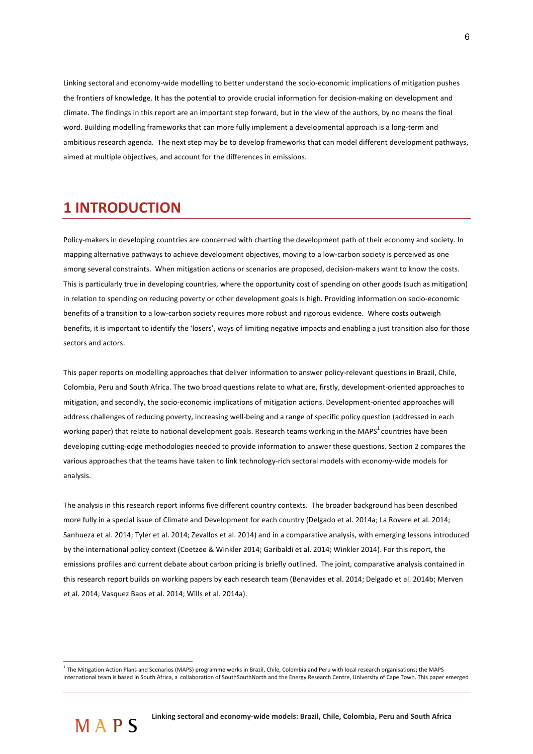Linking sectoral and economy-wide modelling to better understand the socio-economic implications of mitigation pushes the frontiers of knowledge. It has the potential to provide crucial information for decision-making on development and climate. The findings in this report are an important step forward, but in the view of the authors, by no means the final word. Building modelling frameworks that can more fully implement a developmental approach is a long-term and ambitious research agenda. The next step may be to develop frameworks that can model different development pathways, aimed at multiple objectives, and account for the differences in emissions.

## **1!INTRODUCTION**

Policy-makers in developing countries are concerned with charting the development path of their economy and society. In mapping alternative pathways to achieve development objectives, moving to a low-carbon society is perceived as one among several constraints. When mitigation actions or scenarios are proposed, decision-makers want to know the costs. This is particularly true in developing countries, where the opportunity cost of spending on other goods (such as mitigation) in relation to spending on reducing poverty or other development goals is high. Providing information on socio-economic benefits of a transition to a low-carbon society requires more robust and rigorous evidence. Where costs outweigh benefits, it is important to identify the 'losers', ways of limiting negative impacts and enabling a just transition also for those sectors and actors.

This paper reports on modelling approaches that deliver information to answer policy-relevant questions in Brazil, Chile, Colombia, Peru and South Africa. The two broad questions relate to what are, firstly, development-oriented approaches to mitigation, and secondly, the socio-economic implications of mitigation actions. Development-oriented approaches will address challenges of reducing poverty, increasing well-being and a range of specific policy question (addressed in each working paper) that relate to national development goals. Research teams working in the MAPS<sup>1</sup> countries have been developing cutting-edge methodologies needed to provide information to answer these questions. Section 2 compares the various approaches that the teams have taken to link technology-rich sectoral models with economy-wide models for analysis.

The analysis in this research report informs five different country contexts. The broader background has been described more fully in a special issue of Climate and Development for each country (Delgado et al. 2014a; La Rovere et al. 2014; Sanhueza et al. 2014; Tyler et al. 2014; Zevallos et al. 2014) and in a comparative analysis, with emerging lessons introduced by the international policy context (Coetzee & Winkler 2014; Garibaldi et al. 2014; Winkler 2014). For this report, the emissions profiles and current debate about carbon pricing is briefly outlined. The joint, comparative analysis contained in this research report builds on working papers by each research team (Benavides et al. 2014; Delgado et al. 2014b; Merven et al. 2014: Vasquez Baos et al. 2014: Wills et al. 2014a).

 $\overline{a}$ 

 $^1$  The Mitigation Action Plans and Scenarios (MAPS) programme works in Brazil, Chile, Colombia and Peru with local research organisations; the MAPS international team is based in South Africa, a collaboration of SouthSouthNorth and the Energy Research Centre, University of Cape Town. This paper emerged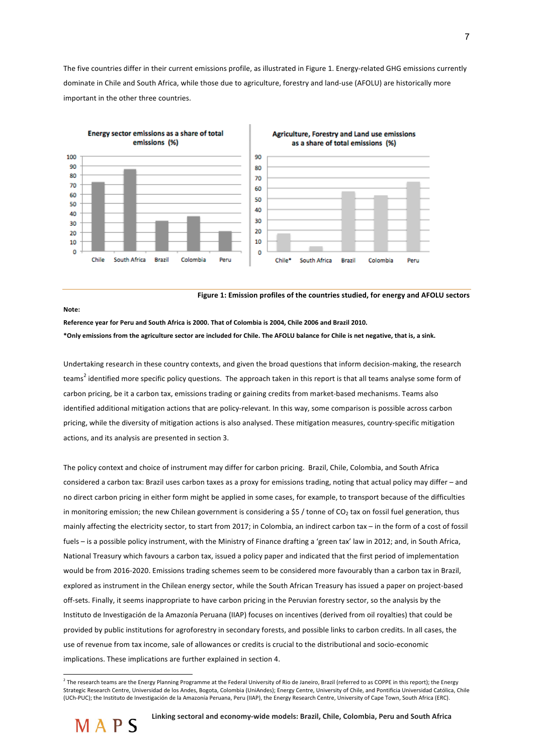The five countries differ in their current emissions profile, as illustrated in Figure 1. Energy-related GHG emissions currently dominate in Chile and South Africa, while those due to agriculture, forestry and land-use (AFOLU) are historically more important in the other three countries.



Figure 1: Emission profiles of the countries studied, for energy and AFOLU sectors

#### **Note:!**

Reference year for Peru and South Africa is 2000. That of Colombia is 2004. Chile 2006 and Brazil 2010. \*Only emissions from the agriculture sector are included for Chile. The AFOLU balance for Chile is net negative, that is, a sink.

Undertaking research in these country contexts, and given the broad questions that inform decision-making, the research teams<sup>2</sup> identified more specific policy questions. The approach taken in this report is that all teams analyse some form of carbon pricing, be it a carbon tax, emissions trading or gaining credits from market-based mechanisms. Teams also identified additional mitigation actions that are policy-relevant. In this way, some comparison is possible across carbon pricing, while the diversity of mitigation actions is also analysed. These mitigation measures, country-specific mitigation actions, and its analysis are presented in section 3.

The policy context and choice of instrument may differ for carbon pricing. Brazil, Chile, Colombia, and South Africa considered a carbon tax: Brazil uses carbon taxes as a proxy for emissions trading, noting that actual policy may differ – and no direct carbon pricing in either form might be applied in some cases, for example, to transport because of the difficulties in monitoring emission; the new Chilean government is considering a \$5 / tonne of CO<sub>2</sub> tax on fossil fuel generation, thus mainly affecting the electricity sector, to start from 2017; in Colombia, an indirect carbon tax – in the form of a cost of fossil fuels – is a possible policy instrument, with the Ministry of Finance drafting a 'green tax' law in 2012; and, in South Africa, National Treasury which favours a carbon tax, issued a policy paper and indicated that the first period of implementation would be from 2016-2020. Emissions trading schemes seem to be considered more favourably than a carbon tax in Brazil, explored as instrument in the Chilean energy sector, while the South African Treasury has issued a paper on project-based off-sets. Finally, it seems inappropriate to have carbon pricing in the Peruvian forestry sector, so the analysis by the Instituto de Investigación de la Amazonía Peruana (IIAP) focuses on incentives (derived from oil royalties) that could be provided by public institutions for agroforestry in secondary forests, and possible links to carbon credits. In all cases, the use of revenue from tax income, sale of allowances or credits is crucial to the distributional and socio-economic implications. These implications are further explained in section 4.

 $^2$  The research teams are the Energy Planning Programme at the Federal University of Rio de Janeiro, Brazil (referred to as COPPE in this report); the Energy Strategic Research Centre, Universidad de los Andes, Bogota, Colombia (UniAndes); Energy Centre, University of Chile, and Pontificia Universidad Católica, Chile (UCh-PUC); the Instituto de Investigación de la Amazonía Peruana, Peru (IIAP), the Energy Research Centre, University of Cape Town, South Africa (ERC).



 $\overline{a}$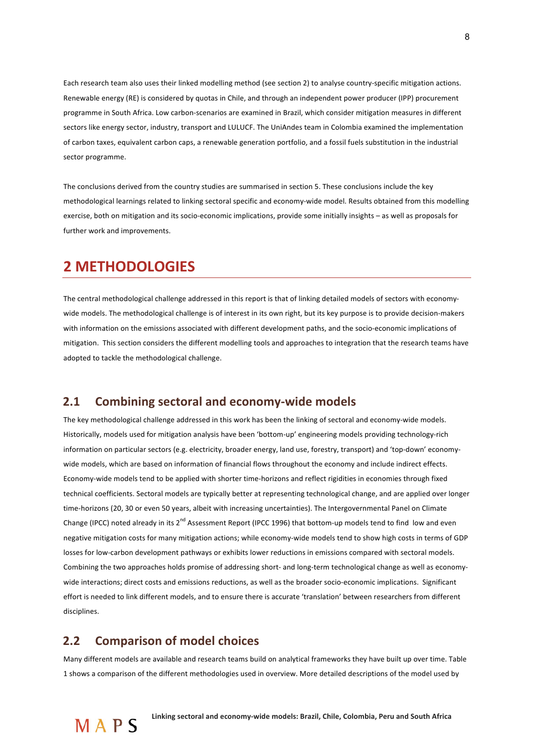Each research team also uses their linked modelling method (see section 2) to analyse country-specific mitigation actions. Renewable energy (RE) is considered by quotas in Chile, and through an independent power producer (IPP) procurement programme in South Africa. Low carbon-scenarios are examined in Brazil, which consider mitigation measures in different sectors like energy sector, industry, transport and LULUCF. The UniAndes team in Colombia examined the implementation of carbon taxes, equivalent carbon caps, a renewable generation portfolio, and a fossil fuels substitution in the industrial sector programme.

The conclusions derived from the country studies are summarised in section 5. These conclusions include the key methodological learnings related to linking sectoral specific and economy-wide model. Results obtained from this modelling exercise, both on mitigation and its socio-economic implications, provide some initially insights – as well as proposals for further work and improvements.

### **2!METHODOLOGIES**

The central methodological challenge addressed in this report is that of linking detailed models of sectors with economywide models. The methodological challenge is of interest in its own right, but its key purpose is to provide decision-makers with information on the emissions associated with different development paths, and the socio-economic implications of mitigation. This section considers the different modelling tools and approaches to integration that the research teams have adopted to tackle the methodological challenge.

### **2.1 Combining sectoral and economy-wide models**

The key methodological challenge addressed in this work has been the linking of sectoral and economy-wide models. Historically, models used for mitigation analysis have been 'bottom-up' engineering models providing technology-rich information on particular sectors (e.g. electricity, broader energy, land use, forestry, transport) and 'top-down' economywide models, which are based on information of financial flows throughout the economy and include indirect effects. Economy-wide models tend to be applied with shorter time-horizons and reflect rigidities in economies through fixed technical coefficients. Sectoral models are typically better at representing technological change, and are applied over longer time-horizons (20, 30 or even 50 years, albeit with increasing uncertainties). The Intergovernmental Panel on Climate Change (IPCC) noted already in its  $2^{nd}$  Assessment Report (IPCC 1996) that bottom-up models tend to find low and even negative mitigation costs for many mitigation actions; while economy-wide models tend to show high costs in terms of GDP losses for low-carbon development pathways or exhibits lower reductions in emissions compared with sectoral models. Combining the two approaches holds promise of addressing short- and long-term technological change as well as economywide interactions; direct costs and emissions reductions, as well as the broader socio-economic implications. Significant effort is needed to link different models, and to ensure there is accurate 'translation' between researchers from different disciplines.

### **2.2 Comparison of model choices**

Many different models are available and research teams build on analytical frameworks they have built up over time. Table 1 shows a comparison of the different methodologies used in overview. More detailed descriptions of the model used by

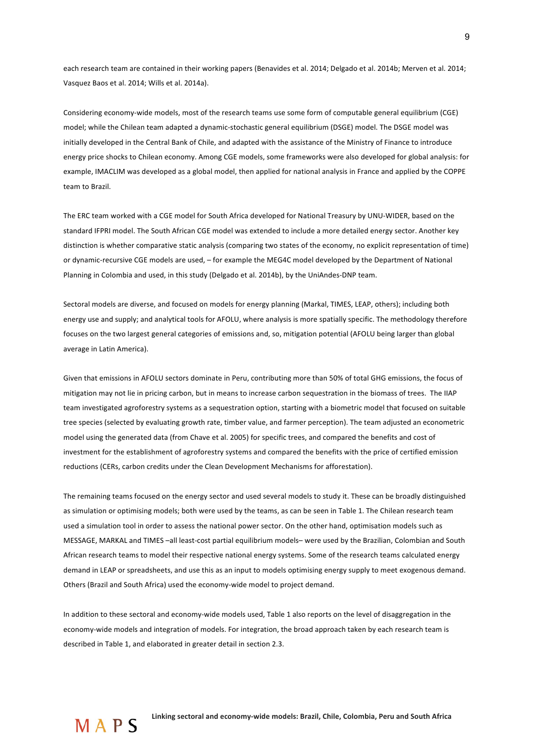each research team are contained in their working papers (Benavides et al. 2014; Delgado et al. 2014b; Merven et al. 2014; Vasquez Baos et al. 2014; Wills et al. 2014a).

Considering economy-wide models, most of the research teams use some form of computable general equilibrium (CGE) model; while the Chilean team adapted a dynamic-stochastic general equilibrium (DSGE) model. The DSGE model was initially developed in the Central Bank of Chile, and adapted with the assistance of the Ministry of Finance to introduce energy price shocks to Chilean economy. Among CGE models, some frameworks were also developed for global analysis: for example, IMACLIM was developed as a global model, then applied for national analysis in France and applied by the COPPE team to Brazil.

The ERC team worked with a CGE model for South Africa developed for National Treasury by UNU-WIDER, based on the standard IFPRI model. The South African CGE model was extended to include a more detailed energy sector. Another key distinction is whether comparative static analysis (comparing two states of the economy, no explicit representation of time) or dynamic-recursive CGE models are used, – for example the MEG4C model developed by the Department of National Planning in Colombia and used, in this study (Delgado et al. 2014b), by the UniAndes-DNP team.

Sectoral models are diverse, and focused on models for energy planning (Markal, TIMES, LEAP, others); including both energy use and supply; and analytical tools for AFOLU, where analysis is more spatially specific. The methodology therefore focuses on the two largest general categories of emissions and, so, mitigation potential (AFOLU being larger than global average in Latin America).

Given that emissions in AFOLU sectors dominate in Peru, contributing more than 50% of total GHG emissions, the focus of mitigation may not lie in pricing carbon, but in means to increase carbon sequestration in the biomass of trees. The IIAP team investigated agroforestry systems as a sequestration option, starting with a biometric model that focused on suitable tree species (selected by evaluating growth rate, timber value, and farmer perception). The team adjusted an econometric model using the generated data (from Chave et al. 2005) for specific trees, and compared the benefits and cost of investment for the establishment of agroforestry systems and compared the benefits with the price of certified emission reductions (CERs, carbon credits under the Clean Development Mechanisms for afforestation).

The remaining teams focused on the energy sector and used several models to study it. These can be broadly distinguished as simulation or optimising models; both were used by the teams, as can be seen in Table 1. The Chilean research team used a simulation tool in order to assess the national power sector. On the other hand, optimisation models such as MESSAGE, MARKAL and TIMES -all least-cost partial equilibrium models- were used by the Brazilian, Colombian and South African research teams to model their respective national energy systems. Some of the research teams calculated energy demand in LEAP or spreadsheets, and use this as an input to models optimising energy supply to meet exogenous demand. Others (Brazil and South Africa) used the economy-wide model to project demand.

In addition to these sectoral and economy-wide models used, Table 1 also reports on the level of disaggregation in the economy-wide models and integration of models. For integration, the broad approach taken by each research team is described in Table 1, and elaborated in greater detail in section 2.3.

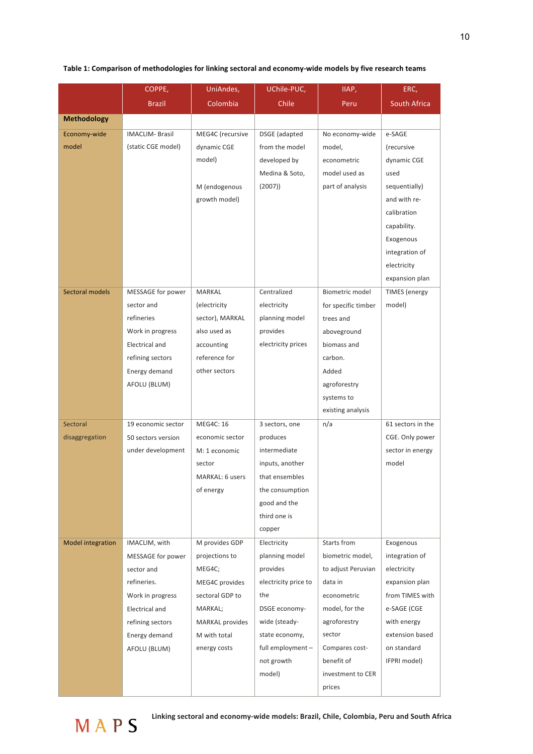| Table 1: Comparison of methodologies for linking sectoral and economy-wide models by five research teams |  |  |
|----------------------------------------------------------------------------------------------------------|--|--|
|----------------------------------------------------------------------------------------------------------|--|--|

|                          | COPPE,                    | UniAndes,                       | UChile-PUC,                | IIAP,                                  | ERC,                          |
|--------------------------|---------------------------|---------------------------------|----------------------------|----------------------------------------|-------------------------------|
|                          | <b>Brazil</b>             | Colombia                        | Chile                      | Peru                                   | <b>South Africa</b>           |
| <b>Methodology</b>       |                           |                                 |                            |                                        |                               |
| Economy-wide             | <b>IMACLIM- Brasil</b>    | MEG4C (recursive                | DSGE (adapted              | No economy-wide                        | e-SAGE                        |
| model                    | (static CGE model)        | dynamic CGE                     | from the model             | model,                                 | (recursive                    |
|                          |                           | model)                          | developed by               | econometric                            | dynamic CGE                   |
|                          |                           |                                 | Medina & Soto,             | model used as                          | used                          |
|                          |                           | M (endogenous                   | (2007)                     | part of analysis                       | sequentially)                 |
|                          |                           | growth model)                   |                            |                                        | and with re-                  |
|                          |                           |                                 |                            |                                        | calibration                   |
|                          |                           |                                 |                            |                                        | capability.                   |
|                          |                           |                                 |                            |                                        | Exogenous                     |
|                          |                           |                                 |                            |                                        | integration of                |
|                          |                           |                                 |                            |                                        | electricity                   |
|                          |                           |                                 |                            |                                        | expansion plan                |
| Sectoral models          | MESSAGE for power         | MARKAL                          | Centralized                | Biometric model                        | <b>TIMES</b> (energy          |
|                          | sector and<br>refineries  | (electricity<br>sector), MARKAL | electricity                | for specific timber                    | model)                        |
|                          | Work in progress          | also used as                    | planning model<br>provides | trees and<br>aboveground               |                               |
|                          | Electrical and            | accounting                      | electricity prices         | biomass and                            |                               |
|                          | refining sectors          | reference for                   |                            | carbon.                                |                               |
|                          | Energy demand             | other sectors                   |                            | Added                                  |                               |
|                          | AFOLU (BLUM)              |                                 |                            | agroforestry                           |                               |
|                          |                           |                                 |                            | systems to                             |                               |
|                          |                           |                                 |                            | existing analysis                      |                               |
| Sectoral                 | 19 economic sector        | MEG4C: 16                       | 3 sectors, one             | n/a                                    | 61 sectors in the             |
| disaggregation           | 50 sectors version        | economic sector                 | produces                   |                                        | CGE. Only power               |
|                          | under development         | M: 1 economic                   | intermediate               |                                        | sector in energy              |
|                          |                           | sector                          | inputs, another            |                                        | model                         |
|                          |                           | MARKAL: 6 users                 | that ensembles             |                                        |                               |
|                          |                           | of energy                       | the consumption            |                                        |                               |
|                          |                           |                                 | good and the               |                                        |                               |
|                          |                           |                                 | third one is               |                                        |                               |
|                          |                           |                                 | copper                     |                                        |                               |
| <b>Model integration</b> | IMACLIM, with             | M provides GDP                  | Electricity                | Starts from                            | Exogenous                     |
|                          | MESSAGE for power         | projections to<br>MEG4C;        | planning model<br>provides | biometric model,<br>to adjust Peruvian | integration of                |
|                          | sector and<br>refineries. | MEG4C provides                  | electricity price to       | data in                                | electricity<br>expansion plan |
|                          | Work in progress          | sectoral GDP to                 | the                        | econometric                            | from TIMES with               |
|                          | Electrical and            | MARKAL;                         | DSGE economy-              | model, for the                         | e-SAGE (CGE                   |
|                          | refining sectors          | <b>MARKAL</b> provides          | wide (steady-              | agroforestry                           | with energy                   |
|                          | Energy demand             | M with total                    | state economy,             | sector                                 | extension based               |
|                          | AFOLU (BLUM)              | energy costs                    | full employment-           | Compares cost-                         | on standard                   |
|                          |                           |                                 | not growth                 | benefit of                             | IFPRI model)                  |
|                          |                           |                                 | model)                     | investment to CER                      |                               |
|                          |                           |                                 |                            | prices                                 |                               |

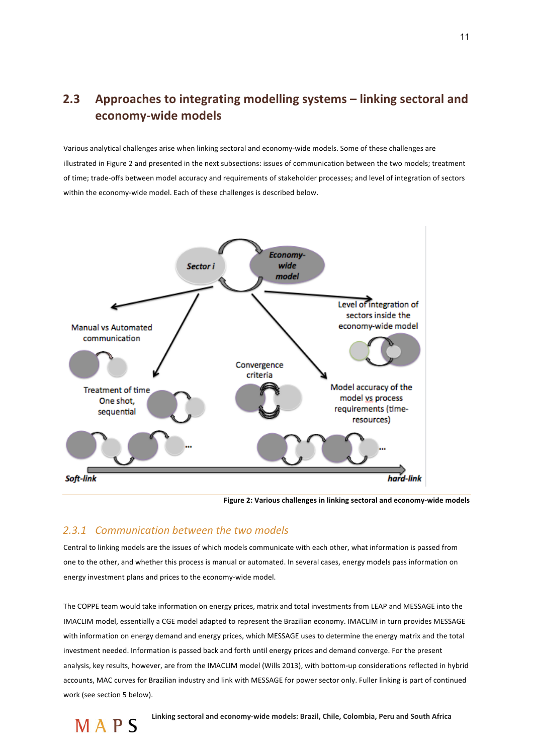## **2.3** Approaches to integrating modelling systems – linking sectoral and economy-wide models

Various analytical challenges arise when linking sectoral and economy-wide models. Some of these challenges are illustrated in Figure 2 and presented in the next subsections: issues of communication between the two models; treatment of time; trade-offs between model accuracy and requirements of stakeholder processes; and level of integration of sectors within the economy-wide model. Each of these challenges is described below.



**Figure 2: Various challenges in linking sectoral and economy-wide models** 

#### 2.3.1 Communication between the two models

Central to linking models are the issues of which models communicate with each other, what information is passed from one to the other, and whether this process is manual or automated. In several cases, energy models pass information on energy investment plans and prices to the economy-wide model.

The COPPE team would take information on energy prices, matrix and total investments from LEAP and MESSAGE into the IMACLIM model, essentially a CGE model adapted to represent the Brazilian economy. IMACLIM in turn provides MESSAGE with information on energy demand and energy prices, which MESSAGE uses to determine the energy matrix and the total investment needed. Information is passed back and forth until energy prices and demand converge. For the present analysis, key results, however, are from the IMACLIM model (Wills 2013), with bottom-up considerations reflected in hybrid accounts, MAC curves for Brazilian industry and link with MESSAGE for power sector only. Fuller linking is part of continued work (see section 5 below).

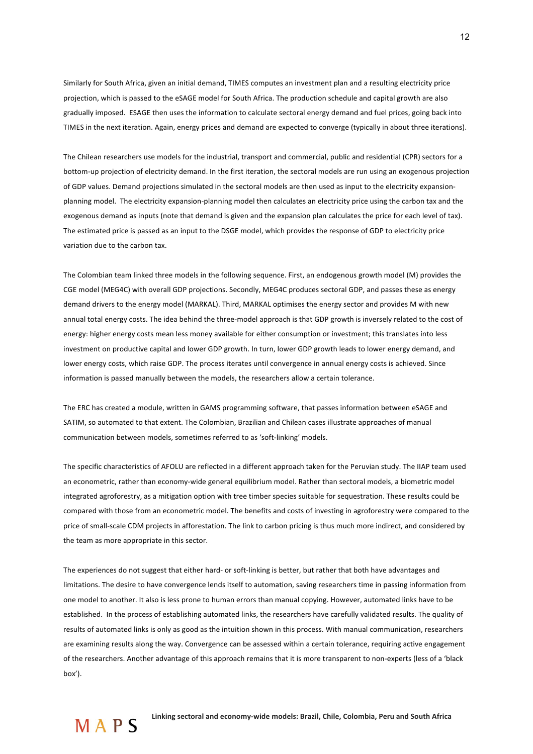Similarly for South Africa, given an initial demand, TIMES computes an investment plan and a resulting electricity price projection, which is passed to the eSAGE model for South Africa. The production schedule and capital growth are also gradually imposed. ESAGE then uses the information to calculate sectoral energy demand and fuel prices, going back into TIMES in the next iteration. Again, energy prices and demand are expected to converge (typically in about three iterations).

The Chilean researchers use models for the industrial, transport and commercial, public and residential (CPR) sectors for a bottom-up projection of electricity demand. In the first iteration, the sectoral models are run using an exogenous projection of GDP values. Demand projections simulated in the sectoral models are then used as input to the electricity expansionplanning model. The electricity expansion-planning model then calculates an electricity price using the carbon tax and the exogenous demand as inputs (note that demand is given and the expansion plan calculates the price for each level of tax). The estimated price is passed as an input to the DSGE model, which provides the response of GDP to electricity price variation due to the carbon tax.

The Colombian team linked three models in the following sequence. First, an endogenous growth model (M) provides the CGE model (MEG4C) with overall GDP projections. Secondly, MEG4C produces sectoral GDP, and passes these as energy demand drivers to the energy model (MARKAL). Third, MARKAL optimises the energy sector and provides M with new annual total energy costs. The idea behind the three-model approach is that GDP growth is inversely related to the cost of energy: higher energy costs mean less money available for either consumption or investment; this translates into less investment on productive capital and lower GDP growth. In turn, lower GDP growth leads to lower energy demand, and lower energy costs, which raise GDP. The process iterates until convergence in annual energy costs is achieved. Since information is passed manually between the models, the researchers allow a certain tolerance.

The ERC has created a module, written in GAMS programming software, that passes information between eSAGE and SATIM, so automated to that extent. The Colombian, Brazilian and Chilean cases illustrate approaches of manual communication between models, sometimes referred to as 'soft-linking' models.

The specific characteristics of AFOLU are reflected in a different approach taken for the Peruvian study. The IIAP team used an econometric, rather than economy-wide general equilibrium model. Rather than sectoral models, a biometric model integrated agroforestry, as a mitigation option with tree timber species suitable for sequestration. These results could be compared with those from an econometric model. The benefits and costs of investing in agroforestry were compared to the price of small-scale CDM projects in afforestation. The link to carbon pricing is thus much more indirect, and considered by the team as more appropriate in this sector.

The experiences do not suggest that either hard- or soft-linking is better, but rather that both have advantages and limitations. The desire to have convergence lends itself to automation, saving researchers time in passing information from one model to another. It also is less prone to human errors than manual copying. However, automated links have to be established. In the process of establishing automated links, the researchers have carefully validated results. The quality of results of automated links is only as good as the intuition shown in this process. With manual communication, researchers are examining results along the way. Convergence can be assessed within a certain tolerance, requiring active engagement of the researchers. Another advantage of this approach remains that it is more transparent to non-experts (less of a 'black box').

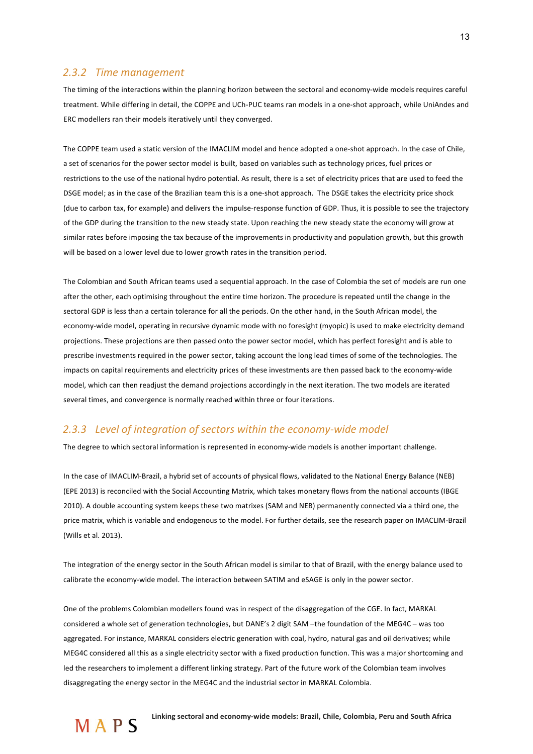#### *2.3.2 Time+management+*

The timing of the interactions within the planning horizon between the sectoral and economy-wide models requires careful treatment. While differing in detail, the COPPE and UCh-PUC teams ran models in a one-shot approach, while UniAndes and ERC modellers ran their models iteratively until they converged.

The COPPE team used a static version of the IMACLIM model and hence adopted a one-shot approach. In the case of Chile, a set of scenarios for the power sector model is built, based on variables such as technology prices, fuel prices or restrictions to the use of the national hydro potential. As result, there is a set of electricity prices that are used to feed the DSGE model; as in the case of the Brazilian team this is a one-shot approach. The DSGE takes the electricity price shock (due to carbon tax, for example) and delivers the impulse-response function of GDP. Thus, it is possible to see the trajectory of the GDP during the transition to the new steady state. Upon reaching the new steady state the economy will grow at similar rates before imposing the tax because of the improvements in productivity and population growth, but this growth will be based on a lower level due to lower growth rates in the transition period.

The Colombian and South African teams used a sequential approach. In the case of Colombia the set of models are run one after the other, each optimising throughout the entire time horizon. The procedure is repeated until the change in the sectoral GDP is less than a certain tolerance for all the periods. On the other hand, in the South African model, the economy-wide model, operating in recursive dynamic mode with no foresight (myopic) is used to make electricity demand projections. These projections are then passed onto the power sector model, which has perfect foresight and is able to prescribe investments required in the power sector, taking account the long lead times of some of the technologies. The impacts on capital requirements and electricity prices of these investments are then passed back to the economy-wide model, which can then readjust the demand projections accordingly in the next iteration. The two models are iterated several times, and convergence is normally reached within three or four iterations.

### 2.3.3 Level of integration of sectors within the economy-wide model

The degree to which sectoral information is represented in economy-wide models is another important challenge.

In the case of IMACLIM-Brazil, a hybrid set of accounts of physical flows, validated to the National Energy Balance (NEB) (EPE 2013) is reconciled with the Social Accounting Matrix, which takes monetary flows from the national accounts (IBGE 2010). A double accounting system keeps these two matrixes (SAM and NEB) permanently connected via a third one, the price matrix, which is variable and endogenous to the model. For further details, see the research paper on IMACLIM-Brazil (Wills et al. 2013).

The integration of the energy sector in the South African model is similar to that of Brazil, with the energy balance used to calibrate the economy-wide model. The interaction between SATIM and eSAGE is only in the power sector.

One of the problems Colombian modellers found was in respect of the disaggregation of the CGE. In fact, MARKAL considered a whole set of generation technologies, but DANE's 2 digit SAM –the foundation of the MEG4C – was too aggregated. For instance, MARKAL considers electric generation with coal, hydro, natural gas and oil derivatives; while MEG4C considered all this as a single electricity sector with a fixed production function. This was a major shortcoming and led the researchers to implement a different linking strategy. Part of the future work of the Colombian team involves disaggregating the energy sector in the MEG4C and the industrial sector in MARKAL Colombia.

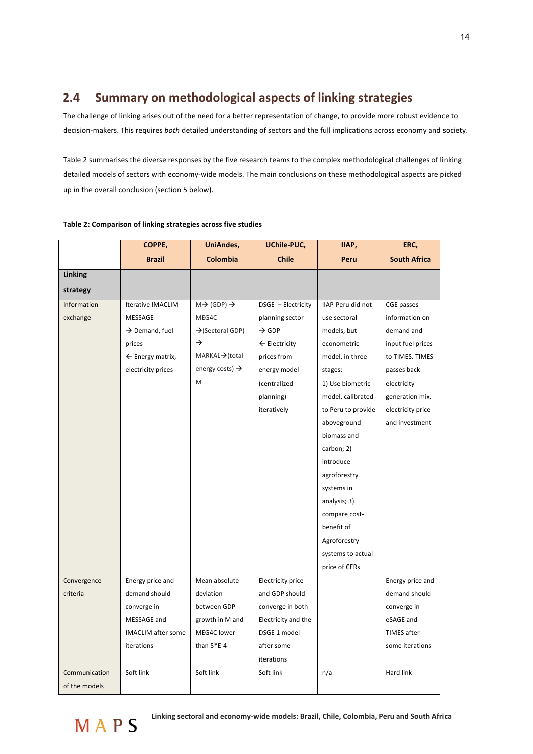## **2.4 Summary on methodological aspects of linking strategies**

The challenge of linking arises out of the need for a better representation of change, to provide more robust evidence to decision-makers. This requires *both* detailed understanding of sectors and the full implications across economy and society.

Table 2 summarises the diverse responses by the five research teams to the complex methodological challenges of linking detailed models of sectors with economy-wide models. The main conclusions on these methodological aspects are picked up in the overall conclusion (section 5 below).

|               | COPPE,                      | UniAndes,                         | UChile-PUC,              | IIAP,              | ERC,                |
|---------------|-----------------------------|-----------------------------------|--------------------------|--------------------|---------------------|
|               | <b>Brazil</b>               | Colombia                          | <b>Chile</b>             | Peru               | <b>South Africa</b> |
| Linking       |                             |                                   |                          |                    |                     |
| strategy      |                             |                                   |                          |                    |                     |
| Information   | Iterative IMACLIM -         | $M \rightarrow (GDP) \rightarrow$ | DSGE - Electricity       | IIAP-Peru did not  | CGE passes          |
| exchange      | MESSAGE                     | MEG4C                             | planning sector          | use sectoral       | information on      |
|               | $\rightarrow$ Demand, fuel  | $\rightarrow$ (Sectoral GDP)      | $\rightarrow$ GDP        | models, but        | demand and          |
|               | prices                      | →                                 | $\leftarrow$ Electricity | econometric        | input fuel prices   |
|               | $\leftarrow$ Energy matrix, | MARKAL→(total                     | prices from              | model, in three    | to TIMES. TIMES     |
|               | electricity prices          | energy costs) $\rightarrow$       | energy model             | stages:            | passes back         |
|               |                             | M                                 | (centralized             | 1) Use biometric   | electricity         |
|               |                             |                                   | planning)                | model, calibrated  | generation mix,     |
|               |                             |                                   | iteratively              | to Peru to provide | electricity price   |
|               |                             |                                   |                          | aboveground        | and investment      |
|               |                             |                                   |                          | biomass and        |                     |
|               |                             |                                   |                          | carbon; 2)         |                     |
|               |                             |                                   |                          | introduce          |                     |
|               |                             |                                   |                          | agroforestry       |                     |
|               |                             |                                   |                          | systems in         |                     |
|               |                             |                                   |                          | analysis; 3)       |                     |
|               |                             |                                   |                          | compare cost-      |                     |
|               |                             |                                   |                          | benefit of         |                     |
|               |                             |                                   |                          | Agroforestry       |                     |
|               |                             |                                   |                          | systems to actual  |                     |
|               |                             |                                   |                          | price of CERs      |                     |
| Convergence   | Energy price and            | Mean absolute                     | <b>Electricity price</b> |                    | Energy price and    |
| criteria      | demand should               | deviation                         | and GDP should           |                    | demand should       |
|               | converge in                 | between GDP                       | converge in both         |                    | converge in         |
|               | MESSAGE and                 | growth in M and                   | Electricity and the      |                    | eSAGE and           |
|               | <b>IMACLIM</b> after some   | MEG4C lower                       | DSGE 1 model             |                    | TIMES after         |
|               | iterations                  | than $5*E-4$                      | after some               |                    | some iterations     |
|               |                             |                                   | iterations               |                    |                     |
| Communication | Soft link                   | Soft link                         | Soft link                | n/a                | Hard link           |
| of the models |                             |                                   |                          |                    |                     |

#### Table 2: Comparison of linking strategies across five studies

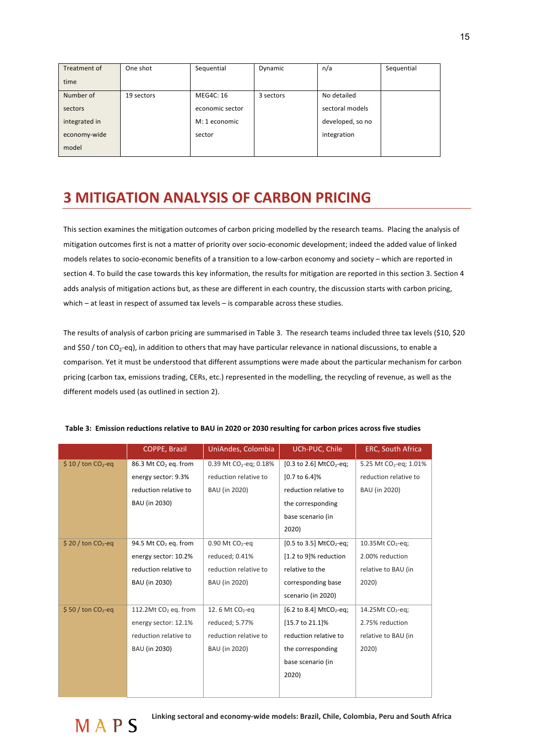| Treatment of  | One shot   | Sequential       | Dynamic   | n/a              | Sequential |
|---------------|------------|------------------|-----------|------------------|------------|
| time          |            |                  |           |                  |            |
| Number of     | 19 sectors | <b>MEG4C: 16</b> | 3 sectors | No detailed      |            |
| sectors       |            | economic sector  |           | sectoral models  |            |
| integrated in |            | M: 1 economic    |           | developed, so no |            |
| economy-wide  |            | sector           |           | integration      |            |
| model         |            |                  |           |                  |            |

## **3 MITIGATION ANALYSIS OF CARBON PRICING**

This section examines the mitigation outcomes of carbon pricing modelled by the research teams. Placing the analysis of mitigation outcomes first is not a matter of priority over socio-economic development; indeed the added value of linked models relates to socio-economic benefits of a transition to a low-carbon economy and society – which are reported in section 4. To build the case towards this key information, the results for mitigation are reported in this section 3. Section 4 adds analysis of mitigation actions but, as these are different in each country, the discussion starts with carbon pricing, which – at least in respect of assumed tax levels – is comparable across these studies.

The results of analysis of carbon pricing are summarised in Table 3. The research teams included three tax levels (\$10, \$20 and \$50 / ton CO<sub>2</sub>-eq), in addition to others that may have particular relevance in national discussions, to enable a comparison. Yet it must be understood that different assumptions were made about the particular mechanism for carbon pricing (carbon tax, emissions trading, CERs, etc.) represented in the modelling, the recycling of revenue, as well as the different models used (as outlined in section 2).

|                                 | <b>COPPE, Brazil</b>             | UniAndes, Colombia            | UCh-PUC, Chile                                    | <b>ERC, South Africa</b>           |
|---------------------------------|----------------------------------|-------------------------------|---------------------------------------------------|------------------------------------|
| $$10$ / ton CO <sub>2</sub> -eq | 86.3 Mt CO <sub>2</sub> eq. from | 0.39 Mt $CO_2$ -eq; 0.18%     | $[0.3 \text{ to } 2.6] \text{ MtCO}_2\text{-eq};$ | 5.25 Mt CO <sub>2</sub> -eq; 1.01% |
|                                 | energy sector: 9.3%              | reduction relative to         | [0.7 to 6.4]%                                     | reduction relative to              |
|                                 | reduction relative to            | BAU (in 2020)                 | reduction relative to                             | BAU (in 2020)                      |
|                                 | BAU (in 2030)                    |                               | the corresponding                                 |                                    |
|                                 |                                  |                               | base scenario (in                                 |                                    |
|                                 |                                  |                               | 2020)                                             |                                    |
| $$20$ / ton CO <sub>2</sub> -eq | 94.5 Mt CO <sub>2</sub> eq. from | $0.90$ Mt CO <sub>2</sub> -eq | [0.5 to 3.5] MtCO <sub>2</sub> -eq;               | 10.35Mt $CO2$ -eq;                 |
|                                 | energy sector: 10.2%             | reduced; 0.41%                | [1.2 to 9]% reduction                             | 2.00% reduction                    |
|                                 | reduction relative to            | reduction relative to         | relative to the                                   | relative to BAU (in                |
|                                 | BAU (in 2030)                    | BAU (in 2020)                 | corresponding base                                | 2020)                              |
|                                 |                                  |                               | scenario (in 2020)                                |                                    |
| $$50$ / ton CO <sub>2</sub> -eq | 112.2Mt CO <sub>2</sub> eq. from | 12.6 Mt CO <sub>2</sub> -eq   | [6.2 to 8.4] MtCO <sub>2</sub> -eq;               | 14.25Mt CO <sub>2</sub> -eq;       |
|                                 | energy sector: 12.1%             | reduced; 5.77%                | [15.7 to 21.1]%                                   | 2.75% reduction                    |
|                                 | reduction relative to            | reduction relative to         | reduction relative to                             | relative to BAU (in                |
|                                 | BAU (in 2030)                    | BAU (in 2020)                 | the corresponding                                 | 2020)                              |
|                                 |                                  |                               | base scenario (in                                 |                                    |
|                                 |                                  |                               | 2020)                                             |                                    |
|                                 |                                  |                               |                                                   |                                    |
|                                 |                                  |                               |                                                   |                                    |

#### Table 3: Emission reductions relative to BAU in 2020 or 2030 resulting for carbon prices across five studies

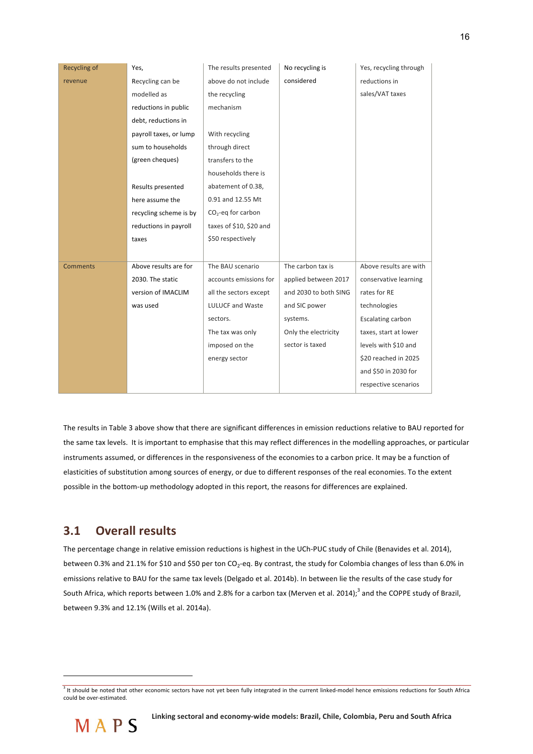| Recycling of    | Yes,                   | The results presented   | No recycling is       | Yes, recycling through |
|-----------------|------------------------|-------------------------|-----------------------|------------------------|
| revenue         | Recycling can be       | above do not include    | considered            | reductions in          |
|                 | modelled as            | the recycling           |                       | sales/VAT taxes        |
|                 | reductions in public   | mechanism               |                       |                        |
|                 | debt, reductions in    |                         |                       |                        |
|                 | payroll taxes, or lump | With recycling          |                       |                        |
|                 | sum to households      | through direct          |                       |                        |
|                 | (green cheques)        | transfers to the        |                       |                        |
|                 |                        | households there is     |                       |                        |
|                 | Results presented      | abatement of 0.38,      |                       |                        |
|                 | here assume the        | 0.91 and 12.55 Mt       |                       |                        |
|                 | recycling scheme is by | $CO2$ -eq for carbon    |                       |                        |
|                 | reductions in payroll  | taxes of \$10, \$20 and |                       |                        |
|                 | taxes                  | \$50 respectively       |                       |                        |
|                 |                        |                         |                       |                        |
| <b>Comments</b> | Above results are for  | The BAU scenario        | The carbon tax is     | Above results are with |
|                 | 2030. The static       | accounts emissions for  | applied between 2017  | conservative learning  |
|                 | version of IMACLIM     | all the sectors except  | and 2030 to both SING | rates for RE           |
|                 | was used               | <b>LULUCF and Waste</b> | and SIC power         | technologies           |
|                 |                        | sectors.                | systems.              | Escalating carbon      |
|                 |                        | The tax was only        | Only the electricity  | taxes, start at lower  |
|                 |                        | imposed on the          | sector is taxed       | levels with \$10 and   |
|                 |                        | energy sector           |                       | \$20 reached in 2025   |
|                 |                        |                         |                       | and \$50 in 2030 for   |
|                 |                        |                         |                       | respective scenarios   |

The results in Table 3 above show that there are significant differences in emission reductions relative to BAU reported for the same tax levels. It is important to emphasise that this may reflect differences in the modelling approaches, or particular instruments assumed, or differences in the responsiveness of the economies to a carbon price. It may be a function of elasticities of substitution among sources of energy, or due to different responses of the real economies. To the extent possible in the bottom-up methodology adopted in this report, the reasons for differences are explained.

### **3.1 Overall results**

The percentage change in relative emission reductions is highest in the UCh-PUC study of Chile (Benavides et al. 2014), between 0.3% and 21.1% for \$10 and \$50 per ton CO<sub>2</sub>-eq. By contrast, the study for Colombia changes of less than 6.0% in emissions relative to BAU for the same tax levels (Delgado et al. 2014b). In between lie the results of the case study for South Africa, which reports between 1.0% and 2.8% for a carbon tax (Merven et al. 2014);<sup>3</sup> and the COPPE study of Brazil, between 9.3% and 12.1% (Wills et al. 2014a).

 $3$  It should be noted that other economic sectors have not yet been fully integrated in the current linked-model hence emissions reductions for South Africa could be over-estimated.



l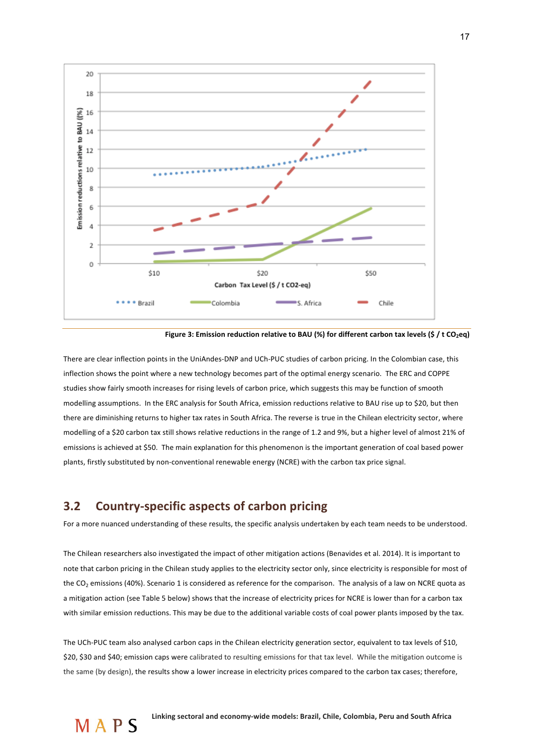

Figure 3: Emission reduction relative to BAU (%) for different carbon tax levels (\$ / t CO<sub>2</sub>eq)

There are clear inflection points in the UniAndes-DNP and UCh-PUC studies of carbon pricing. In the Colombian case, this inflection shows the point where a new technology becomes part of the optimal energy scenario. The ERC and COPPE studies show fairly smooth increases for rising levels of carbon price, which suggests this may be function of smooth modelling assumptions. In the ERC analysis for South Africa, emission reductions relative to BAU rise up to \$20, but then there are diminishing returns to higher tax rates in South Africa. The reverse is true in the Chilean electricity sector, where modelling of a \$20 carbon tax still shows relative reductions in the range of 1.2 and 9%, but a higher level of almost 21% of emissions is achieved at \$50. The main explanation for this phenomenon is the important generation of coal based power plants, firstly substituted by non-conventional renewable energy (NCRE) with the carbon tax price signal.

### **3.2** Country-specific aspects of carbon pricing

For a more nuanced understanding of these results, the specific analysis undertaken by each team needs to be understood.

The Chilean researchers also investigated the impact of other mitigation actions (Benavides et al. 2014). It is important to note that carbon pricing in the Chilean study applies to the electricity sector only, since electricity is responsible for most of the CO<sub>2</sub> emissions (40%). Scenario 1 is considered as reference for the comparison. The analysis of a law on NCRE quota as a mitigation action (see Table 5 below) shows that the increase of electricity prices for NCRE is lower than for a carbon tax with similar emission reductions. This may be due to the additional variable costs of coal power plants imposed by the tax.

The UCh-PUC team also analysed carbon caps in the Chilean electricity generation sector, equivalent to tax levels of \$10, \$20, \$30 and \$40; emission caps were calibrated to resulting emissions for that tax level. While the mitigation outcome is the same (by design), the results show a lower increase in electricity prices compared to the carbon tax cases; therefore,

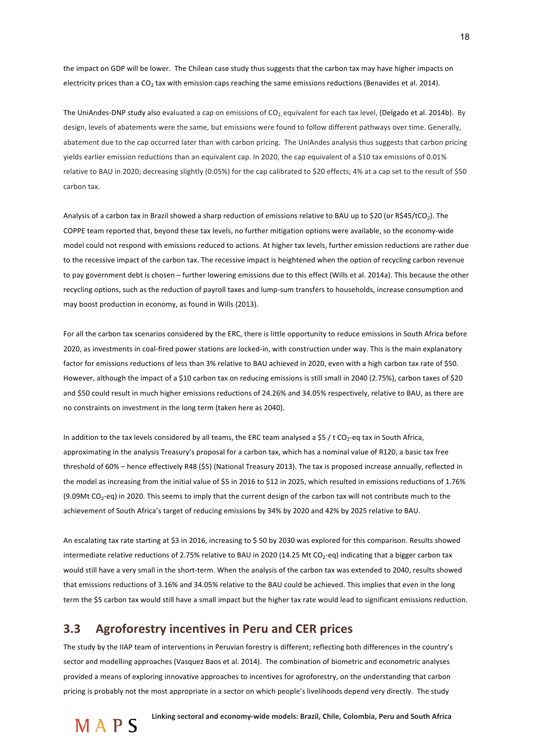the impact on GDP will be lower. The Chilean case study thus suggests that the carbon tax may have higher impacts on electricity prices than a CO<sub>2</sub> tax with emission caps reaching the same emissions reductions (Benavides et al. 2014).

The UniAndes-DNP study also evaluated a cap on emissions of  $CO_2$  equivalent for each tax level, (Delgado et al. 2014b). By design, levels of abatements were the same, but emissions were found to follow different pathways over time. Generally, abatement due to the cap occurred later than with carbon pricing. The UniAndes analysis thus suggests that carbon pricing yields earlier emission reductions than an equivalent cap. In 2020, the cap equivalent of a \$10 tax emissions of 0.01% relative to BAU in 2020; decreasing slightly (0.05%) for the cap calibrated to \$20 effects; 4% at a cap set to the result of \$50 carbon tax.

Analysis of a carbon tax in Brazil showed a sharp reduction of emissions relative to BAU up to \$20 (or R\$45/tCO<sub>2</sub>). The COPPE team reported that, beyond these tax levels, no further mitigation options were available, so the economy-wide model could not respond with emissions reduced to actions. At higher tax levels, further emission reductions are rather due to the recessive impact of the carbon tax. The recessive impact is heightened when the option of recycling carbon revenue to pay government debt is chosen – further lowering emissions due to this effect (Wills et al. 2014a). This because the other recycling options, such as the reduction of payroll taxes and lump-sum transfers to households, increase consumption and may boost production in economy, as found in Wills (2013).

For all the carbon tax scenarios considered by the ERC, there is little opportunity to reduce emissions in South Africa before 2020, as investments in coal-fired power stations are locked-in, with construction under way. This is the main explanatory factor for emissions reductions of less than 3% relative to BAU achieved in 2020, even with a high carbon tax rate of \$50. However, although the impact of a \$10 carbon tax on reducing emissions is still small in 2040 (2.75%), carbon taxes of \$20 and \$50 could result in much higher emissions reductions of 24.26% and 34.05% respectively, relative to BAU, as there are no constraints on investment in the long term (taken here as 2040).

In addition to the tax levels considered by all teams, the ERC team analysed a \$5 / t CO<sub>2</sub>-eq tax in South Africa, approximating in the analysis Treasury's proposal for a carbon tax, which has a nominal value of R120, a basic tax free threshold of 60% – hence effectively R48 (\$5) (National Treasury 2013). The tax is proposed increase annually, reflected in the model as increasing from the initial value of \$5 in 2016 to \$12 in 2025, which resulted in emissions reductions of 1.76% (9.09Mt  $CO_2$ -eq) in 2020. This seems to imply that the current design of the carbon tax will not contribute much to the achievement of South Africa's target of reducing emissions by 34% by 2020 and 42% by 2025 relative to BAU.

An escalating tax rate starting at \$3 in 2016, increasing to \$ 50 by 2030 was explored for this comparison. Results showed intermediate relative reductions of 2.75% relative to BAU in 2020 (14.25 Mt CO<sub>2</sub>-eq) indicating that a bigger carbon tax would still have a very small in the short-term. When the analysis of the carbon tax was extended to 2040, results showed that emissions reductions of 3.16% and 34.05% relative to the BAU could be achieved. This implies that even in the long term the \$5 carbon tax would still have a small impact but the higher tax rate would lead to significant emissions reduction.

### **3.3** Agroforestry incentives in Peru and CER prices

The study by the IIAP team of interventions in Peruvian forestry is different; reflecting both differences in the country's sector and modelling approaches (Vasquez Baos et al. 2014). The combination of biometric and econometric analyses provided a means of exploring innovative approaches to incentives for agroforestry, on the understanding that carbon pricing is probably not the most appropriate in a sector on which people's livelihoods depend very directly. The study

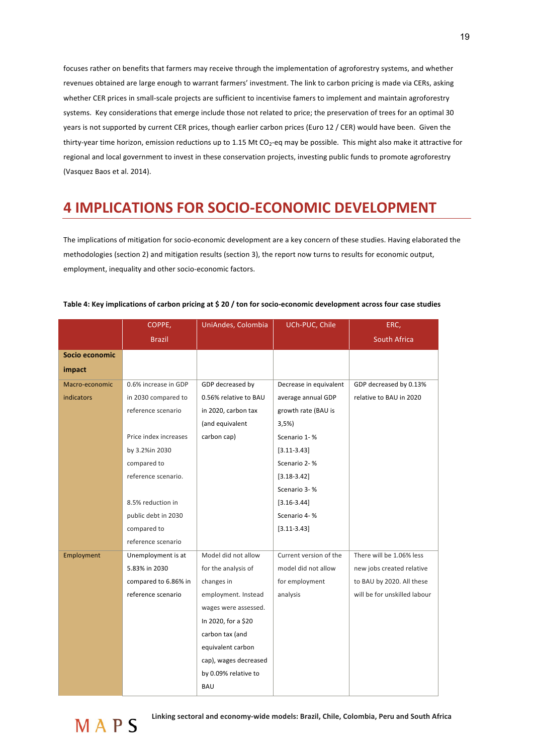focuses rather on benefits that farmers may receive through the implementation of agroforestry systems, and whether revenues obtained are large enough to warrant farmers' investment. The link to carbon pricing is made via CERs, asking whether CER prices in small-scale projects are sufficient to incentivise famers to implement and maintain agroforestry systems. Key considerations that emerge include those not related to price; the preservation of trees for an optimal 30 years is not supported by current CER prices, though earlier carbon prices (Euro 12 / CER) would have been. Given the thirty-year time horizon, emission reductions up to 1.15 Mt CO<sub>2</sub>-eq may be possible. This might also make it attractive for regional and local government to invest in these conservation projects, investing public funds to promote agroforestry (Vasquez Baos et al. 2014).

## **4 IMPLICATIONS FOR SOCIO-ECONOMIC DEVELOPMENT**

The implications of mitigation for socio-economic development are a key concern of these studies. Having elaborated the methodologies (section 2) and mitigation results (section 3), the report now turns to results for economic output, employment, inequality and other socio-economic factors.

|                   | COPPE,                | UniAndes, Colombia    | UCh-PUC, Chile         | ERC,                         |
|-------------------|-----------------------|-----------------------|------------------------|------------------------------|
|                   | <b>Brazil</b>         |                       |                        | <b>South Africa</b>          |
| Socio economic    |                       |                       |                        |                              |
| impact            |                       |                       |                        |                              |
| Macro-economic    | 0.6% increase in GDP  | GDP decreased by      | Decrease in equivalent | GDP decreased by 0.13%       |
| <b>indicators</b> | in 2030 compared to   | 0.56% relative to BAU | average annual GDP     | relative to BAU in 2020      |
|                   | reference scenario    | in 2020, carbon tax   | growth rate (BAU is    |                              |
|                   |                       | (and equivalent       | 3,5%                   |                              |
|                   | Price index increases | carbon cap)           | Scenario 1-%           |                              |
|                   | by 3.2%in 2030        |                       | $[3.11 - 3.43]$        |                              |
|                   | compared to           |                       | Scenario 2-%           |                              |
|                   | reference scenario.   |                       | $[3.18 - 3.42]$        |                              |
|                   |                       |                       | Scenario 3-%           |                              |
|                   | 8.5% reduction in     |                       | $[3.16 - 3.44]$        |                              |
|                   | public debt in 2030   |                       | Scenario 4-%           |                              |
|                   | compared to           |                       | $[3.11 - 3.43]$        |                              |
|                   | reference scenario    |                       |                        |                              |
| Employment        | Unemployment is at    | Model did not allow   | Current version of the | There will be 1.06% less     |
|                   | 5.83% in 2030         | for the analysis of   | model did not allow    | new jobs created relative    |
|                   | compared to 6.86% in  | changes in            | for employment         | to BAU by 2020. All these    |
|                   | reference scenario    | employment. Instead   | analysis               | will be for unskilled labour |
|                   |                       | wages were assessed.  |                        |                              |
|                   |                       | In 2020, for a \$20   |                        |                              |
|                   |                       | carbon tax (and       |                        |                              |
|                   |                       | equivalent carbon     |                        |                              |
|                   |                       | cap), wages decreased |                        |                              |
|                   |                       | by 0.09% relative to  |                        |                              |
|                   |                       | <b>BAU</b>            |                        |                              |

#### Table 4: Key implications of carbon pricing at \$20 / ton for socio-economic development across four case studies

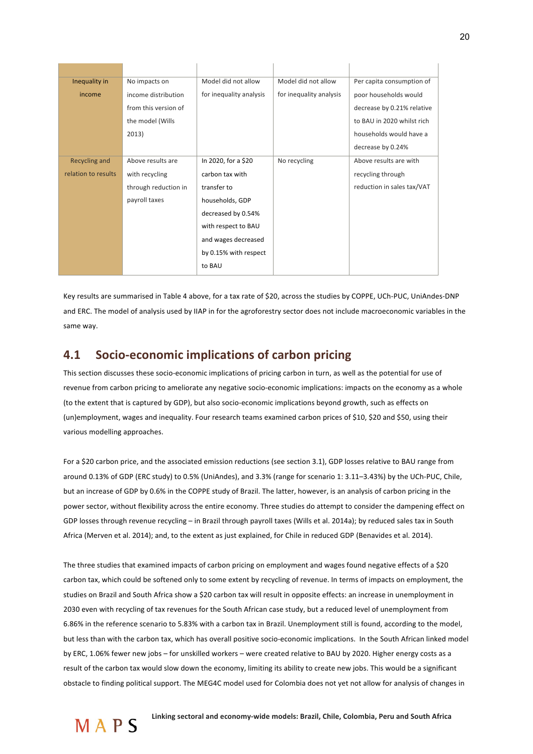| Inequality in       | No impacts on        | Model did not allow     | Model did not allow     | Per capita consumption of  |
|---------------------|----------------------|-------------------------|-------------------------|----------------------------|
| income              | income distribution  | for inequality analysis | for inequality analysis | poor households would      |
|                     | from this version of |                         |                         | decrease by 0.21% relative |
|                     | the model (Wills     |                         |                         | to BAU in 2020 whilst rich |
|                     | 2013)                |                         |                         | households would have a    |
|                     |                      |                         |                         | decrease by 0.24%          |
| Recycling and       | Above results are    | In 2020, for a \$20     | No recycling            | Above results are with     |
| relation to results | with recycling       | carbon tax with         |                         | recycling through          |
|                     | through reduction in | transfer to             |                         | reduction in sales tax/VAT |
|                     | payroll taxes        | households, GDP         |                         |                            |
|                     |                      | decreased by 0.54%      |                         |                            |
|                     |                      | with respect to BAU     |                         |                            |
|                     |                      | and wages decreased     |                         |                            |
|                     |                      | by 0.15% with respect   |                         |                            |
|                     |                      | to BAU                  |                         |                            |

Key results are summarised in Table 4 above, for a tax rate of \$20, across the studies by COPPE, UCh-PUC, UniAndes-DNP and ERC. The model of analysis used by IIAP in for the agroforestry sector does not include macroeconomic variables in the same way.

### **4.1 Socio-economic implications of carbon pricing**

This section discusses these socio-economic implications of pricing carbon in turn, as well as the potential for use of revenue from carbon pricing to ameliorate any negative socio-economic implications: impacts on the economy as a whole (to the extent that is captured by GDP), but also socio-economic implications beyond growth, such as effects on (un)employment, wages and inequality. Four research teams examined carbon prices of \$10, \$20 and \$50, using their various modelling approaches.

For a \$20 carbon price, and the associated emission reductions (see section 3.1), GDP losses relative to BAU range from around 0.13% of GDP (ERC study) to 0.5% (UniAndes), and 3.3% (range for scenario 1: 3.11–3.43%) by the UCh-PUC, Chile, but an increase of GDP by 0.6% in the COPPE study of Brazil. The latter, however, is an analysis of carbon pricing in the power sector, without flexibility across the entire economy. Three studies do attempt to consider the dampening effect on GDP losses through revenue recycling – in Brazil through payroll taxes (Wills et al. 2014a); by reduced sales tax in South Africa (Merven et al. 2014); and, to the extent as just explained, for Chile in reduced GDP (Benavides et al. 2014).

The three studies that examined impacts of carbon pricing on employment and wages found negative effects of a \$20 carbon tax, which could be softened only to some extent by recycling of revenue. In terms of impacts on employment, the studies on Brazil and South Africa show a \$20 carbon tax will result in opposite effects: an increase in unemployment in 2030 even with recycling of tax revenues for the South African case study, but a reduced level of unemployment from 6.86% in the reference scenario to 5.83% with a carbon tax in Brazil. Unemployment still is found, according to the model, but less than with the carbon tax, which has overall positive socio-economic implications. In the South African linked model by ERC, 1.06% fewer new jobs – for unskilled workers – were created relative to BAU by 2020. Higher energy costs as a result of the carbon tax would slow down the economy, limiting its ability to create new jobs. This would be a significant obstacle to finding political support. The MEG4C model used for Colombia does not yet not allow for analysis of changes in

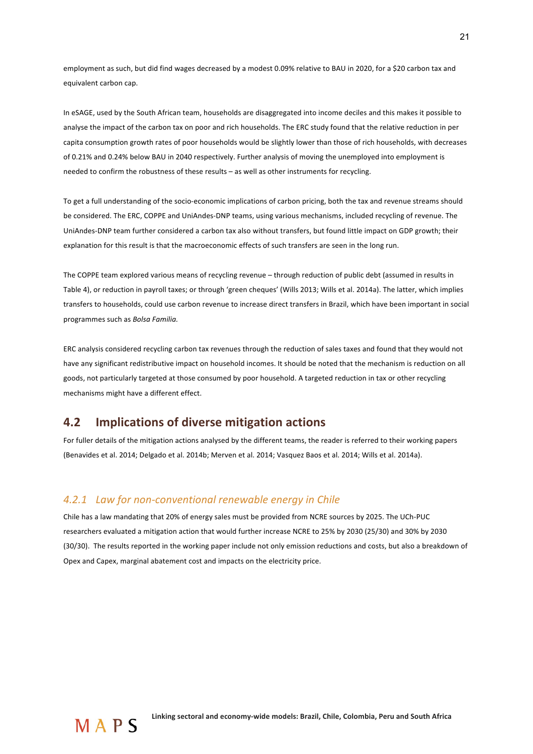employment as such, but did find wages decreased by a modest 0.09% relative to BAU in 2020, for a \$20 carbon tax and equivalent carbon cap.

In eSAGE, used by the South African team, households are disaggregated into income deciles and this makes it possible to analyse the impact of the carbon tax on poor and rich households. The ERC study found that the relative reduction in per capita consumption growth rates of poor households would be slightly lower than those of rich households, with decreases of 0.21% and 0.24% below BAU in 2040 respectively. Further analysis of moving the unemployed into employment is needed to confirm the robustness of these results – as well as other instruments for recycling.

To get a full understanding of the socio-economic implications of carbon pricing, both the tax and revenue streams should be considered. The ERC, COPPE and UniAndes-DNP teams, using various mechanisms, included recycling of revenue. The UniAndes-DNP team further considered a carbon tax also without transfers, but found little impact on GDP growth; their explanation for this result is that the macroeconomic effects of such transfers are seen in the long run.

The COPPE team explored various means of recycling revenue – through reduction of public debt (assumed in results in Table 4), or reduction in payroll taxes; or through 'green cheques' (Wills 2013; Wills et al. 2014a). The latter, which implies transfers to households, could use carbon revenue to increase direct transfers in Brazil, which have been important in social programmes such as *Bolsa Familia*.

ERC analysis considered recycling carbon tax revenues through the reduction of sales taxes and found that they would not have any significant redistributive impact on household incomes. It should be noted that the mechanism is reduction on all goods, not particularly targeted at those consumed by poor household. A targeted reduction in tax or other recycling mechanisms might have a different effect.

### **4.2** Implications of diverse mitigation actions

For fuller details of the mitigation actions analysed by the different teams, the reader is referred to their working papers (Benavides et al. 2014; Delgado et al. 2014b; Merven et al. 2014; Vasquez Baos et al. 2014; Wills et al. 2014a).

#### 4.2.1 Law for non-conventional renewable energy in Chile

Chile has a law mandating that 20% of energy sales must be provided from NCRE sources by 2025. The UCh-PUC researchers evaluated a mitigation action that would further increase NCRE to 25% by 2030 (25/30) and 30% by 2030 (30/30). The results reported in the working paper include not only emission reductions and costs, but also a breakdown of Opex and Capex, marginal abatement cost and impacts on the electricity price.

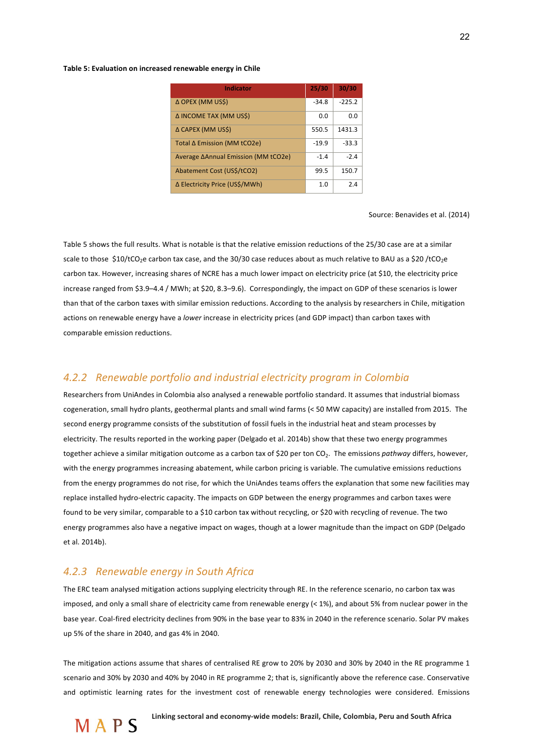#### Table 5: Evaluation on increased renewable energy in Chile

| <b>Indicator</b>                    | 25/30   | 30/30    |
|-------------------------------------|---------|----------|
| Δ OPEX (MM US\$)                    | $-34.8$ | $-225.2$ |
| Δ INCOME TAX (MM US\$)              | 0.0     | 0.0      |
| Δ CAPEX (MM US\$)                   | 550.5   | 1431.3   |
| Total ∆ Emission (MM tCO2e)         | $-19.9$ | $-33.3$  |
| Average ΔAnnual Emission (MM tCO2e) | $-1.4$  | $-2.4$   |
| Abatement Cost (US\$/tCO2)          | 99.5    | 150.7    |
| ∆ Electricity Price (US\$/MWh)      | 1.0     | 2.4      |

Source: Benavides et al. (2014)

Table 5 shows the full results. What is notable is that the relative emission reductions of the 25/30 case are at a similar scale to those \$10/tCO<sub>2</sub>e carbon tax case, and the 30/30 case reduces about as much relative to BAU as a \$20/tCO<sub>2</sub>e carbon tax. However, increasing shares of NCRE has a much lower impact on electricity price (at \$10, the electricity price increase ranged from \$3.9–4.4 / MWh; at \$20, 8.3–9.6). Correspondingly, the impact on GDP of these scenarios is lower than that of the carbon taxes with similar emission reductions. According to the analysis by researchers in Chile, mitigation actions on renewable energy have a *lower* increase in electricity prices (and GDP impact) than carbon taxes with comparable emission reductions.

### *4.2.2 Renewable+portfolio+and+industrial+electricity+program+in+Colombia++*

Researchers from UniAndes in Colombia also analysed a renewable portfolio standard. It assumes that industrial biomass cogeneration, small hydro plants, geothermal plants and small wind farms (< 50 MW capacity) are installed from 2015. The second energy programme consists of the substitution of fossil fuels in the industrial heat and steam processes by electricity. The results reported in the working paper (Delgado et al. 2014b) show that these two energy programmes together achieve a similar mitigation outcome as a carbon tax of \$20 per ton CO<sub>2</sub>. The emissions *pathway* differs, however, with the energy programmes increasing abatement, while carbon pricing is variable. The cumulative emissions reductions from the energy programmes do not rise, for which the UniAndes teams offers the explanation that some new facilities may replace installed hydro-electric capacity. The impacts on GDP between the energy programmes and carbon taxes were found to be very similar, comparable to a \$10 carbon tax without recycling, or \$20 with recycling of revenue. The two energy programmes also have a negative impact on wages, though at a lower magnitude than the impact on GDP (Delgado et al. 2014b).

#### *4.2.3 Renewable+energy+in+South+Africa++*

The ERC team analysed mitigation actions supplying electricity through RE. In the reference scenario, no carbon tax was imposed, and only a small share of electricity came from renewable energy (< 1%), and about 5% from nuclear power in the base year. Coal-fired electricity declines from 90% in the base year to 83% in 2040 in the reference scenario. Solar PV makes up 5% of the share in 2040, and gas 4% in 2040.

The mitigation actions assume that shares of centralised RE grow to 20% by 2030 and 30% by 2040 in the RE programme 1 scenario and 30% by 2030 and 40% by 2040 in RE programme 2; that is, significantly above the reference case. Conservative and optimistic learning rates for the investment cost of renewable energy technologies were considered. Emissions

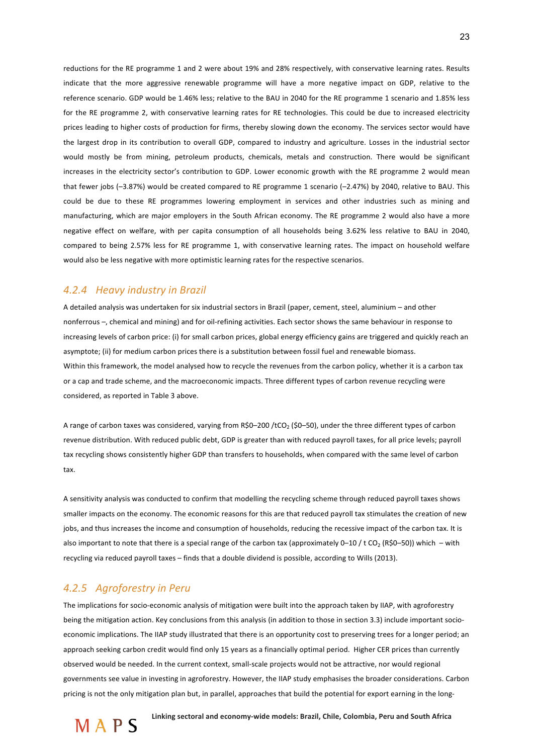reductions for the RE programme 1 and 2 were about 19% and 28% respectively, with conservative learning rates. Results indicate that the more aggressive renewable programme will have a more negative impact on GDP, relative to the reference scenario. GDP would be 1.46% less; relative to the BAU in 2040 for the RE programme 1 scenario and 1.85% less for the RE programme 2, with conservative learning rates for RE technologies. This could be due to increased electricity prices leading to higher costs of production for firms, thereby slowing down the economy. The services sector would have the largest drop in its contribution to overall GDP, compared to industry and agriculture. Losses in the industrial sector would mostly be from mining, petroleum products, chemicals, metals and construction. There would be significant increases in the electricity sector's contribution to GDP. Lower economic growth with the RE programme 2 would mean that fewer jobs (-3.87%) would be created compared to RE programme 1 scenario (-2.47%) by 2040, relative to BAU. This could be due to these RE programmes lowering employment in services and other industries such as mining and manufacturing, which are major employers in the South African economy. The RE programme 2 would also have a more negative effect on welfare, with per capita consumption of all households being 3.62% less relative to BAU in 2040, compared to being 2.57% less for RE programme 1, with conservative learning rates. The impact on household welfare would also be less negative with more optimistic learning rates for the respective scenarios.

### *4.2.4 Heavy+industry+in+Brazil*

A detailed analysis was undertaken for six industrial sectors in Brazil (paper, cement, steel, aluminium – and other nonferrous –, chemical and mining) and for oil-refining activities. Each sector shows the same behaviour in response to increasing levels of carbon price: (i) for small carbon prices, global energy efficiency gains are triggered and quickly reach an asymptote; (ii) for medium carbon prices there is a substitution between fossil fuel and renewable biomass. Within this framework, the model analysed how to recycle the revenues from the carbon policy, whether it is a carbon tax or a cap and trade scheme, and the macroeconomic impacts. Three different types of carbon revenue recycling were considered, as reported in Table 3 above.

A range of carbon taxes was considered, varying from R\$0–200 /tCO<sub>2</sub> (\$0–50), under the three different types of carbon revenue distribution. With reduced public debt, GDP is greater than with reduced payroll taxes, for all price levels; payroll tax recycling shows consistently higher GDP than transfers to households, when compared with the same level of carbon tax.

A sensitivity analysis was conducted to confirm that modelling the recycling scheme through reduced payroll taxes shows smaller impacts on the economy. The economic reasons for this are that reduced payroll tax stimulates the creation of new jobs, and thus increases the income and consumption of households, reducing the recessive impact of the carbon tax. It is also important to note that there is a special range of the carbon tax (approximately 0–10 / t CO<sub>2</sub> (R\$0–50)) which – with recycling via reduced payroll taxes – finds that a double dividend is possible, according to Wills (2013).

### *4.2.5 Agroforestry+in+Peru*

The implications for socio-economic analysis of mitigation were built into the approach taken by IIAP, with agroforestry being the mitigation action. Key conclusions from this analysis (in addition to those in section 3.3) include important socioeconomic implications. The IIAP study illustrated that there is an opportunity cost to preserving trees for a longer period; an approach seeking carbon credit would find only 15 years as a financially optimal period. Higher CER prices than currently observed would be needed. In the current context, small-scale projects would not be attractive, nor would regional governments see value in investing in agroforestry. However, the IIAP study emphasises the broader considerations. Carbon pricing is not the only mitigation plan but, in parallel, approaches that build the potential for export earning in the long-

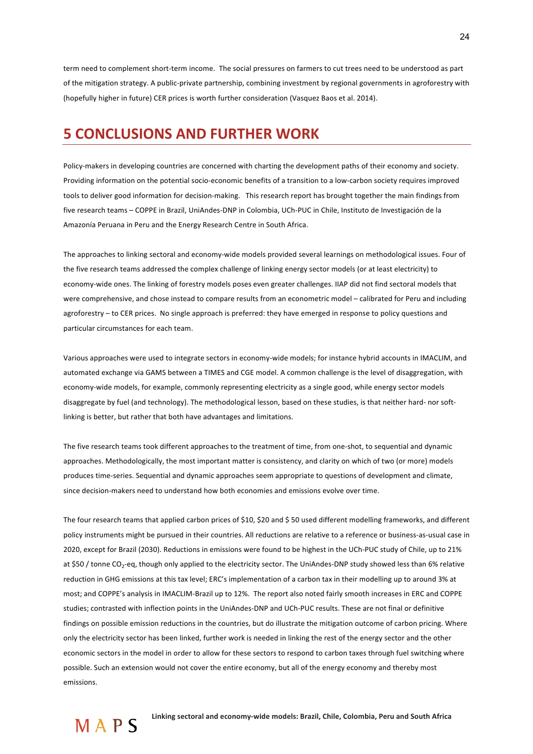term need to complement short-term income. The social pressures on farmers to cut trees need to be understood as part of the mitigation strategy. A public-private partnership, combining investment by regional governments in agroforestry with (hopefully higher in future) CER prices is worth further consideration (Vasquez Baos et al. 2014).

## **5 CONCLUSIONS AND FURTHER WORK**

Policy-makers in developing countries are concerned with charting the development paths of their economy and society. Providing information on the potential socio-economic benefits of a transition to a low-carbon society requires improved tools to deliver good information for decision-making. This research report has brought together the main findings from five research teams – COPPE in Brazil, UniAndes-DNP in Colombia, UCh-PUC in Chile, Instituto de Investigación de la Amazonía Peruana in Peru and the Energy Research Centre in South Africa.

The approaches to linking sectoral and economy-wide models provided several learnings on methodological issues. Four of the five research teams addressed the complex challenge of linking energy sector models (or at least electricity) to economy-wide ones. The linking of forestry models poses even greater challenges. IIAP did not find sectoral models that were comprehensive, and chose instead to compare results from an econometric model – calibrated for Peru and including agroforestry – to CER prices. No single approach is preferred: they have emerged in response to policy questions and particular circumstances for each team.

Various approaches were used to integrate sectors in economy-wide models; for instance hybrid accounts in IMACLIM, and automated exchange via GAMS between a TIMES and CGE model. A common challenge is the level of disaggregation, with economy-wide models, for example, commonly representing electricity as a single good, while energy sector models disaggregate by fuel (and technology). The methodological lesson, based on these studies, is that neither hard- nor softlinking is better, but rather that both have advantages and limitations.

The five research teams took different approaches to the treatment of time, from one-shot, to sequential and dynamic approaches. Methodologically, the most important matter is consistency, and clarity on which of two (or more) models produces time-series. Sequential and dynamic approaches seem appropriate to questions of development and climate, since decision-makers need to understand how both economies and emissions evolve over time.

The four research teams that applied carbon prices of \$10, \$20 and \$50 used different modelling frameworks, and different policy instruments might be pursued in their countries. All reductions are relative to a reference or business-as-usual case in 2020, except for Brazil (2030). Reductions in emissions were found to be highest in the UCh-PUC study of Chile, up to 21% at \$50 / tonne CO<sub>2</sub>-eq, though only applied to the electricity sector. The UniAndes-DNP study showed less than 6% relative reduction in GHG emissions at this tax level; ERC's implementation of a carbon tax in their modelling up to around 3% at most; and COPPE's analysis in IMACLIM-Brazil up to 12%. The report also noted fairly smooth increases in ERC and COPPE studies: contrasted with inflection points in the UniAndes-DNP and UCh-PUC results. These are not final or definitive findings on possible emission reductions in the countries, but do illustrate the mitigation outcome of carbon pricing. Where only the electricity sector has been linked, further work is needed in linking the rest of the energy sector and the other economic sectors in the model in order to allow for these sectors to respond to carbon taxes through fuel switching where possible. Such an extension would not cover the entire economy, but all of the energy economy and thereby most emissions.!

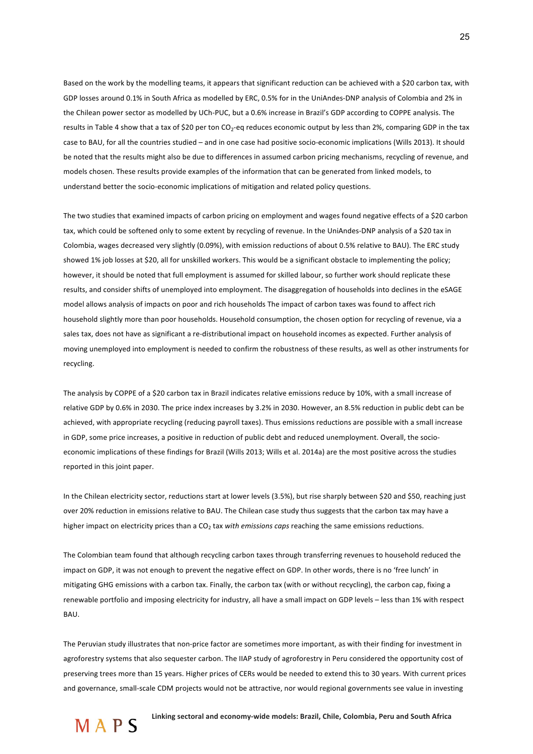Based on the work by the modelling teams, it appears that significant reduction can be achieved with a \$20 carbon tax, with GDP losses around 0.1% in South Africa as modelled by ERC, 0.5% for in the UniAndes-DNP analysis of Colombia and 2% in the Chilean power sector as modelled by UCh-PUC, but a 0.6% increase in Brazil's GDP according to COPPE analysis. The results in Table 4 show that a tax of \$20 per ton CO<sub>2</sub>-eq reduces economic output by less than 2%, comparing GDP in the tax case to BAU, for all the countries studied – and in one case had positive socio-economic implications (Wills 2013). It should be noted that the results might also be due to differences in assumed carbon pricing mechanisms, recycling of revenue, and models chosen. These results provide examples of the information that can be generated from linked models, to understand better the socio-economic implications of mitigation and related policy questions.

The two studies that examined impacts of carbon pricing on employment and wages found negative effects of a \$20 carbon tax, which could be softened only to some extent by recycling of revenue. In the UniAndes-DNP analysis of a \$20 tax in Colombia, wages decreased very slightly (0.09%), with emission reductions of about 0.5% relative to BAU). The ERC study showed 1% job losses at \$20, all for unskilled workers. This would be a significant obstacle to implementing the policy; however, it should be noted that full employment is assumed for skilled labour, so further work should replicate these results, and consider shifts of unemployed into employment. The disaggregation of households into declines in the eSAGE model allows analysis of impacts on poor and rich households The impact of carbon taxes was found to affect rich household slightly more than poor households. Household consumption, the chosen option for recycling of revenue, via a sales tax, does not have as significant a re-distributional impact on household incomes as expected. Further analysis of moving unemployed into employment is needed to confirm the robustness of these results, as well as other instruments for recycling.

The analysis by COPPE of a \$20 carbon tax in Brazil indicates relative emissions reduce by 10%, with a small increase of relative GDP by 0.6% in 2030. The price index increases by 3.2% in 2030. However, an 8.5% reduction in public debt can be achieved, with appropriate recycling (reducing payroll taxes). Thus emissions reductions are possible with a small increase in GDP, some price increases, a positive in reduction of public debt and reduced unemployment. Overall, the socioeconomic implications of these findings for Brazil (Wills 2013; Wills et al. 2014a) are the most positive across the studies reported in this joint paper.

In the Chilean electricity sector, reductions start at lower levels (3.5%), but rise sharply between \$20 and \$50, reaching just over 20% reduction in emissions relative to BAU. The Chilean case study thus suggests that the carbon tax may have a higher impact on electricity prices than a CO<sub>2</sub> tax *with emissions caps* reaching the same emissions reductions.

The Colombian team found that although recycling carbon taxes through transferring revenues to household reduced the impact on GDP, it was not enough to prevent the negative effect on GDP. In other words, there is no 'free lunch' in mitigating GHG emissions with a carbon tax. Finally, the carbon tax (with or without recycling), the carbon cap, fixing a renewable portfolio and imposing electricity for industry, all have a small impact on GDP levels – less than 1% with respect **BAU** 

The Peruvian study illustrates that non-price factor are sometimes more important, as with their finding for investment in agroforestry systems that also sequester carbon. The IIAP study of agroforestry in Peru considered the opportunity cost of preserving trees more than 15 years. Higher prices of CERs would be needed to extend this to 30 years. With current prices and governance, small-scale CDM projects would not be attractive, nor would regional governments see value in investing

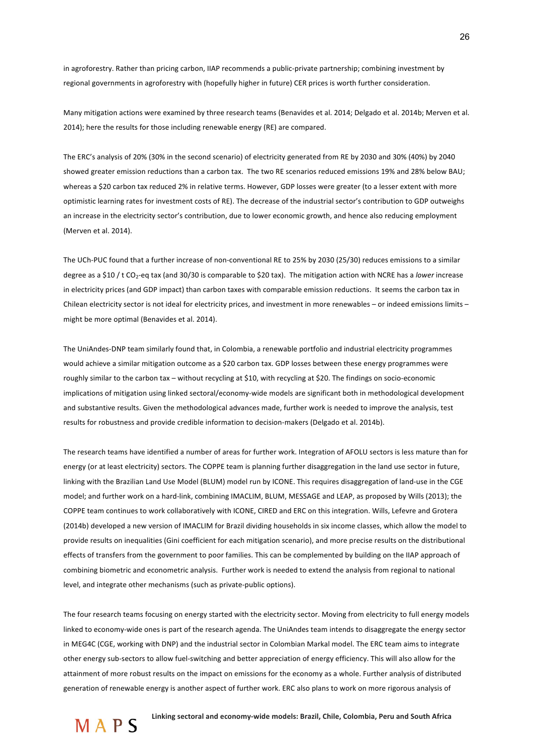in agroforestry. Rather than pricing carbon, IIAP recommends a public-private partnership; combining investment by regional governments in agroforestry with (hopefully higher in future) CER prices is worth further consideration.

Many mitigation actions were examined by three research teams (Benavides et al. 2014; Delgado et al. 2014b; Merven et al. 2014); here the results for those including renewable energy (RE) are compared.

The ERC's analysis of 20% (30% in the second scenario) of electricity generated from RE by 2030 and 30% (40%) by 2040 showed greater emission reductions than a carbon tax. The two RE scenarios reduced emissions 19% and 28% below BAU; whereas a \$20 carbon tax reduced 2% in relative terms. However, GDP losses were greater (to a lesser extent with more optimistic learning rates for investment costs of RE). The decrease of the industrial sector's contribution to GDP outweighs an increase in the electricity sector's contribution, due to lower economic growth, and hence also reducing employment (Merven et al. 2014).

The UCh-PUC found that a further increase of non-conventional RE to 25% by 2030 (25/30) reduces emissions to a similar degree as a \$10 / t CO<sub>2</sub>-eq tax (and 30/30 is comparable to \$20 tax). The mitigation action with NCRE has a *lower* increase in electricity prices (and GDP impact) than carbon taxes with comparable emission reductions. It seems the carbon tax in Chilean electricity sector is not ideal for electricity prices, and investment in more renewables – or indeed emissions limits – might be more optimal (Benavides et al. 2014).

The UniAndes-DNP team similarly found that, in Colombia, a renewable portfolio and industrial electricity programmes would achieve a similar mitigation outcome as a \$20 carbon tax. GDP losses between these energy programmes were roughly similar to the carbon tax – without recycling at \$10, with recycling at \$20. The findings on socio-economic implications of mitigation using linked sectoral/economy-wide models are significant both in methodological development and substantive results. Given the methodological advances made, further work is needed to improve the analysis, test results for robustness and provide credible information to decision-makers (Delgado et al. 2014b).

The research teams have identified a number of areas for further work. Integration of AFOLU sectors is less mature than for energy (or at least electricity) sectors. The COPPE team is planning further disaggregation in the land use sector in future, linking with the Brazilian Land Use Model (BLUM) model run by ICONE. This requires disaggregation of land-use in the CGE model: and further work on a hard-link, combining IMACLIM, BLUM, MESSAGE and LEAP, as proposed by Wills (2013); the COPPE team continues to work collaboratively with ICONE, CIRED and ERC on this integration. Wills, Lefevre and Grotera (2014b) developed a new version of IMACLIM for Brazil dividing households in six income classes, which allow the model to provide results on inequalities (Gini coefficient for each mitigation scenario), and more precise results on the distributional effects of transfers from the government to poor families. This can be complemented by building on the IIAP approach of combining biometric and econometric analysis. Further work is needed to extend the analysis from regional to national level, and integrate other mechanisms (such as private-public options).

The four research teams focusing on energy started with the electricity sector. Moving from electricity to full energy models linked to economy-wide ones is part of the research agenda. The UniAndes team intends to disaggregate the energy sector in MEG4C (CGE, working with DNP) and the industrial sector in Colombian Markal model. The ERC team aims to integrate other energy sub-sectors to allow fuel-switching and better appreciation of energy efficiency. This will also allow for the attainment of more robust results on the impact on emissions for the economy as a whole. Further analysis of distributed generation of renewable energy is another aspect of further work. ERC also plans to work on more rigorous analysis of

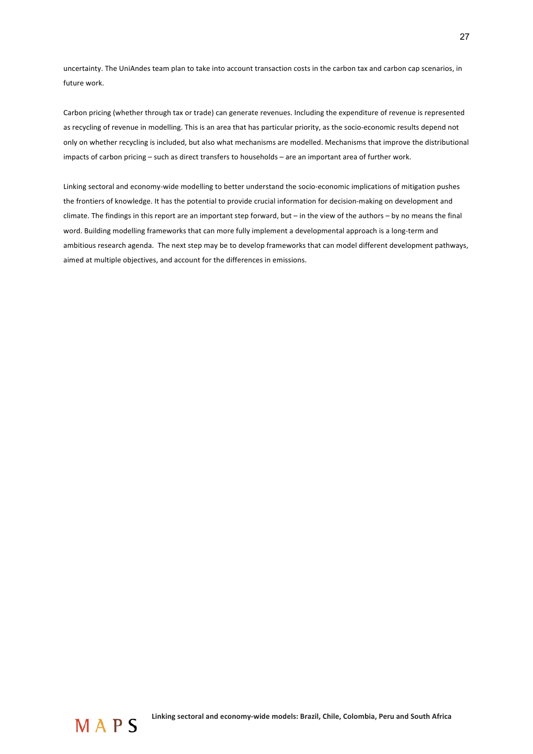uncertainty. The UniAndes team plan to take into account transaction costs in the carbon tax and carbon cap scenarios, in future work.

Carbon pricing (whether through tax or trade) can generate revenues. Including the expenditure of revenue is represented as recycling of revenue in modelling. This is an area that has particular priority, as the socio-economic results depend not only on whether recycling is included, but also what mechanisms are modelled. Mechanisms that improve the distributional impacts of carbon pricing – such as direct transfers to households – are an important area of further work.

Linking sectoral and economy-wide modelling to better understand the socio-economic implications of mitigation pushes the frontiers of knowledge. It has the potential to provide crucial information for decision-making on development and climate. The findings in this report are an important step forward, but – in the view of the authors – by no means the final word. Building modelling frameworks that can more fully implement a developmental approach is a long-term and ambitious research agenda. The next step may be to develop frameworks that can model different development pathways, aimed at multiple objectives, and account for the differences in emissions.

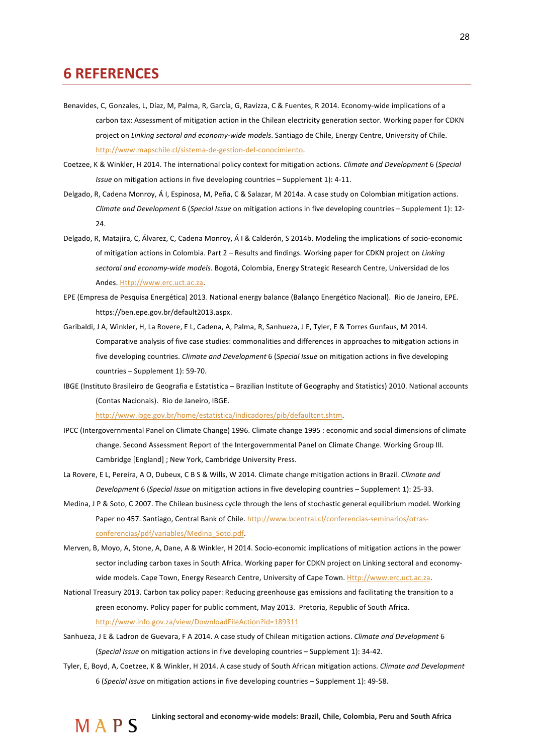## **6!REFERENCES!**

- Benavides, C, Gonzales, L, Díaz, M, Palma, R, García, G, Ravizza, C & Fuentes, R 2014. Economy-wide implications of a carbon tax: Assessment of mitigation action in the Chilean electricity generation sector. Working paper for CDKN project on *Linking sectoral and economy-wide models*. Santiago de Chile, Energy Centre, University of Chile. http://www.mapschile.cl/sistema-de-gestion-del-conocimiento.
- Coetzee, K & Winkler, H 2014. The international policy context for mitigation actions. *Climate and Development* 6 (*Special Issue* on mitigation actions in five developing countries – Supplement 1): 4-11.
- Delgado, R, Cadena Monroy, Á I, Espinosa, M, Peña, C & Salazar, M 2014a. A case study on Colombian mitigation actions. *Climate and Development* 6 (*Special Issue* on mitigation actions in five developing countries – Supplement 1): 12-24.
- Delgado, R, Matajira, C, Álvarez, C, Cadena Monroy, Á I & Calderón, S 2014b. Modeling the implications of socio-economic of mitigation actions in Colombia. Part 2 – Results and findings. Working paper for CDKN project on *Linking* sectoral and economy-wide models. Bogotá, Colombia, Energy Strategic Research Centre, Universidad de los Andes. Http://www.erc.uct.ac.za.
- EPE (Empresa de Pesquisa Energética) 2013. National energy balance (Balanço Energético Nacional). Rio de Janeiro, EPE. https://ben.epe.gov.br/default2013.aspx.
- Garibaldi, J A, Winkler, H, La Rovere, E L, Cadena, A, Palma, R, Sanhueza, J E, Tyler, E & Torres Gunfaus, M 2014. Comparative analysis of five case studies: commonalities and differences in approaches to mitigation actions in five developing countries. *Climate and Development* 6 (*Special Issue* on mitigation actions in five developing  $countries - Supplement 1$ : 59-70.
- IBGE (Instituto Brasileiro de Geografia e Estatística Brazilian Institute of Geography and Statistics) 2010. National accounts (Contas Nacionais). Rio de Janeiro, IBGE.

http://www.ibge.gov.br/home/estatistica/indicadores/pib/defaultcnt.shtm.

- IPCC (Intergovernmental Panel on Climate Change) 1996. Climate change 1995 : economic and social dimensions of climate change. Second Assessment Report of the Intergovernmental Panel on Climate Change. Working Group III. Cambridge [England] ; New York, Cambridge University Press.
- La Rovere, E L, Pereira, A O, Dubeux, C B S & Wills, W 2014. Climate change mitigation actions in Brazil. Climate and *Development* 6 (*Special Issue* on mitigation actions in five developing countries – Supplement 1): 25-33.
- Medina, J P & Soto, C 2007. The Chilean business cycle through the lens of stochastic general equilibrium model. Working Paper no 457. Santiago, Central Bank of Chile. http://www.bcentral.cl/conferencias-seminarios/otrasconferencias/pdf/variables/Medina\_Soto.pdf.
- Merven, B, Moyo, A, Stone, A, Dane, A & Winkler, H 2014. Socio-economic implications of mitigation actions in the power sector including carbon taxes in South Africa. Working paper for CDKN project on Linking sectoral and economywide models. Cape Town, Energy Research Centre, University of Cape Town. Http://www.erc.uct.ac.za.
- National Treasury 2013. Carbon tax policy paper: Reducing greenhouse gas emissions and facilitating the transition to a green economy. Policy paper for public comment, May 2013. Pretoria, Republic of South Africa. http://www.info.gov.za/view/DownloadFileAction?id=189311
- Sanhueza, J E & Ladron de Guevara, F A 2014. A case study of Chilean mitigation actions. *Climate and Development* 6 (*Special Issue* on mitigation actions in five developing countries – Supplement 1): 34-42.
- Tyler, E, Boyd, A, Coetzee, K & Winkler, H 2014. A case study of South African mitigation actions. *Climate and Development* 6 (Special Issue on mitigation actions in five developing countries – Supplement 1): 49-58.